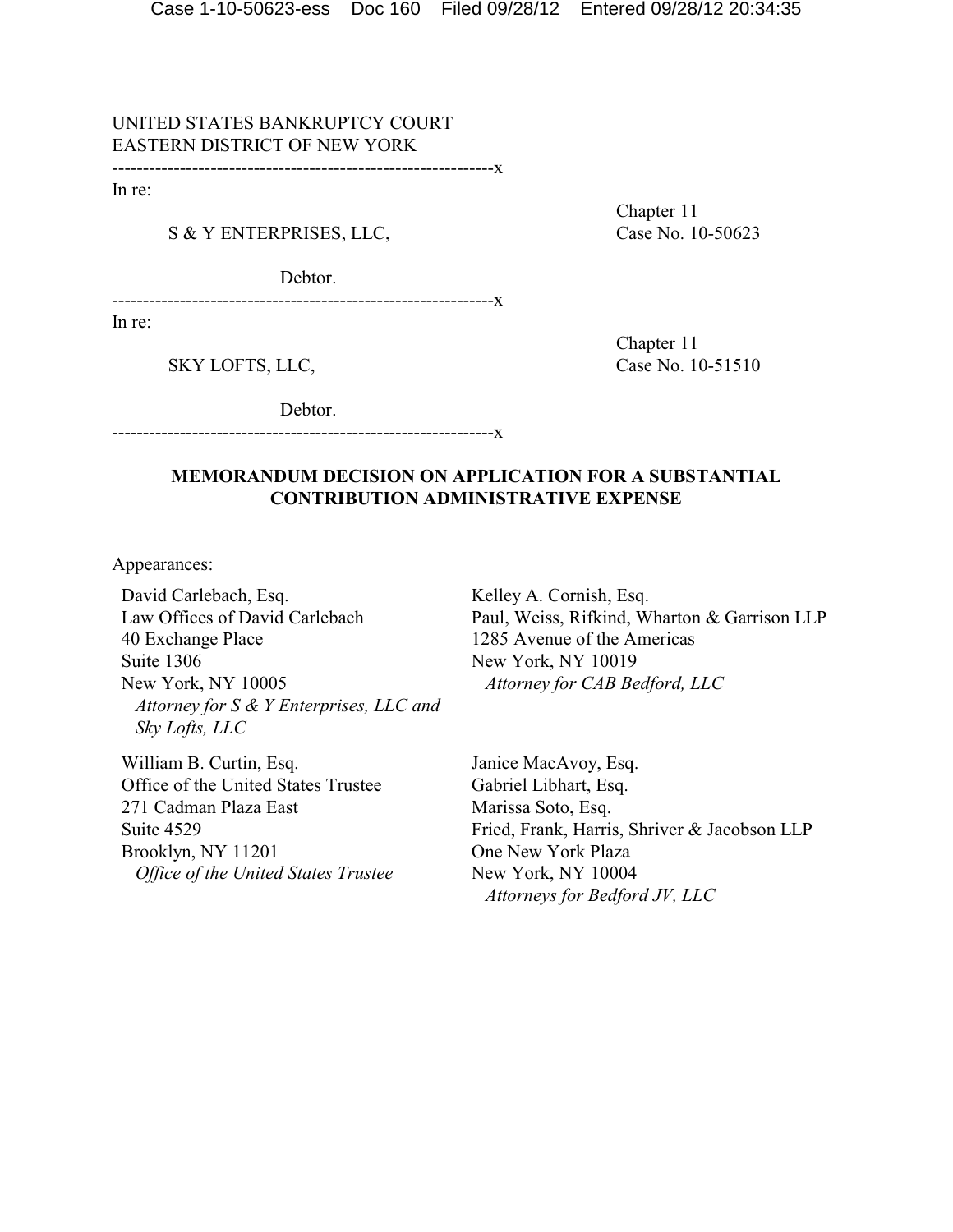UNITED STATES BANKRUPTCY COURT EASTERN DISTRICT OF NEW YORK

--------------------------------------------------------------x

In re:

S & Y ENTERPRISES, LLC, Case No. 10-50623

Debtor.

--------------------------------------------------------------x

In re:

Chapter 11

Chapter 11 SKY LOFTS, LLC, Case No. 10-51510

Debtor.

# **MEMORANDUM DECISION ON APPLICATION FOR A SUBSTANTIAL CONTRIBUTION ADMINISTRATIVE EXPENSE**

--------------------------------------------------------------x

Appearances:

David Carlebach, Esq. Law Offices of David Carlebach 40 Exchange Place Suite 1306 New York, NY 10005 *Attorney for S & Y Enterprises, LLC and Sky Lofts, LLC*

William B. Curtin, Esq. Office of the United States Trustee 271 Cadman Plaza East Suite 4529 Brooklyn, NY 11201 *Office of the United States Trustee* Kelley A. Cornish, Esq. Paul, Weiss, Rifkind, Wharton & Garrison LLP 1285 Avenue of the Americas New York, NY 10019 *Attorney for CAB Bedford, LLC*

Janice MacAvoy, Esq. Gabriel Libhart, Esq. Marissa Soto, Esq. Fried, Frank, Harris, Shriver & Jacobson LLP One New York Plaza New York, NY 10004 *Attorneys for Bedford JV, LLC*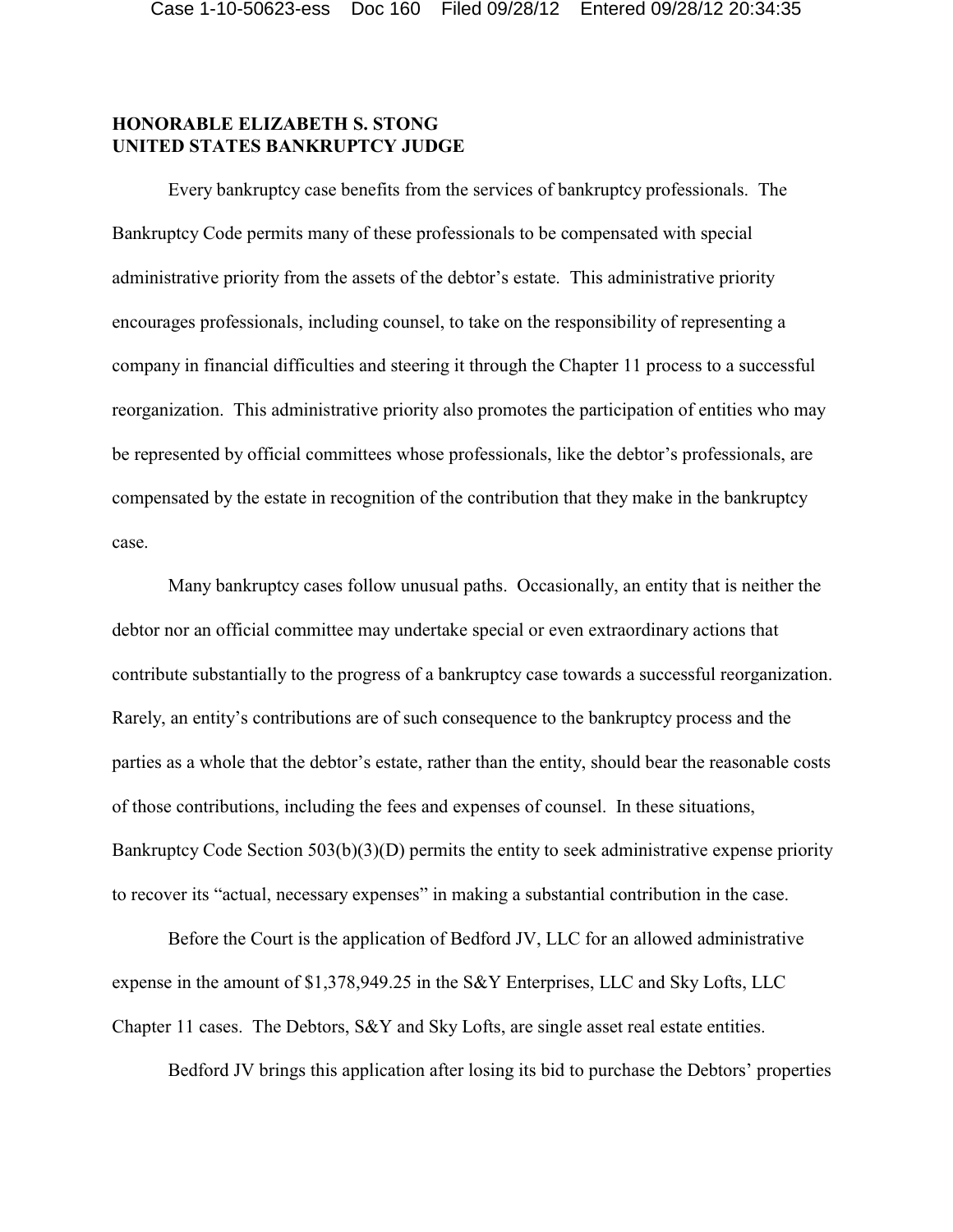## **HONORABLE ELIZABETH S. STONG UNITED STATES BANKRUPTCY JUDGE**

Every bankruptcy case benefits from the services of bankruptcy professionals. The Bankruptcy Code permits many of these professionals to be compensated with special administrative priority from the assets of the debtor's estate. This administrative priority encourages professionals, including counsel, to take on the responsibility of representing a company in financial difficulties and steering it through the Chapter 11 process to a successful reorganization. This administrative priority also promotes the participation of entities who may be represented by official committees whose professionals, like the debtor's professionals, are compensated by the estate in recognition of the contribution that they make in the bankruptcy case.

Many bankruptcy cases follow unusual paths. Occasionally, an entity that is neither the debtor nor an official committee may undertake special or even extraordinary actions that contribute substantially to the progress of a bankruptcy case towards a successful reorganization. Rarely, an entity's contributions are of such consequence to the bankruptcy process and the parties as a whole that the debtor's estate, rather than the entity, should bear the reasonable costs of those contributions, including the fees and expenses of counsel. In these situations, Bankruptcy Code Section 503(b)(3)(D) permits the entity to seek administrative expense priority to recover its "actual, necessary expenses" in making a substantial contribution in the case.

Before the Court is the application of Bedford JV, LLC for an allowed administrative expense in the amount of \$1,378,949.25 in the S&Y Enterprises, LLC and Sky Lofts, LLC Chapter 11 cases. The Debtors, S&Y and Sky Lofts, are single asset real estate entities.

Bedford JV brings this application after losing its bid to purchase the Debtors' properties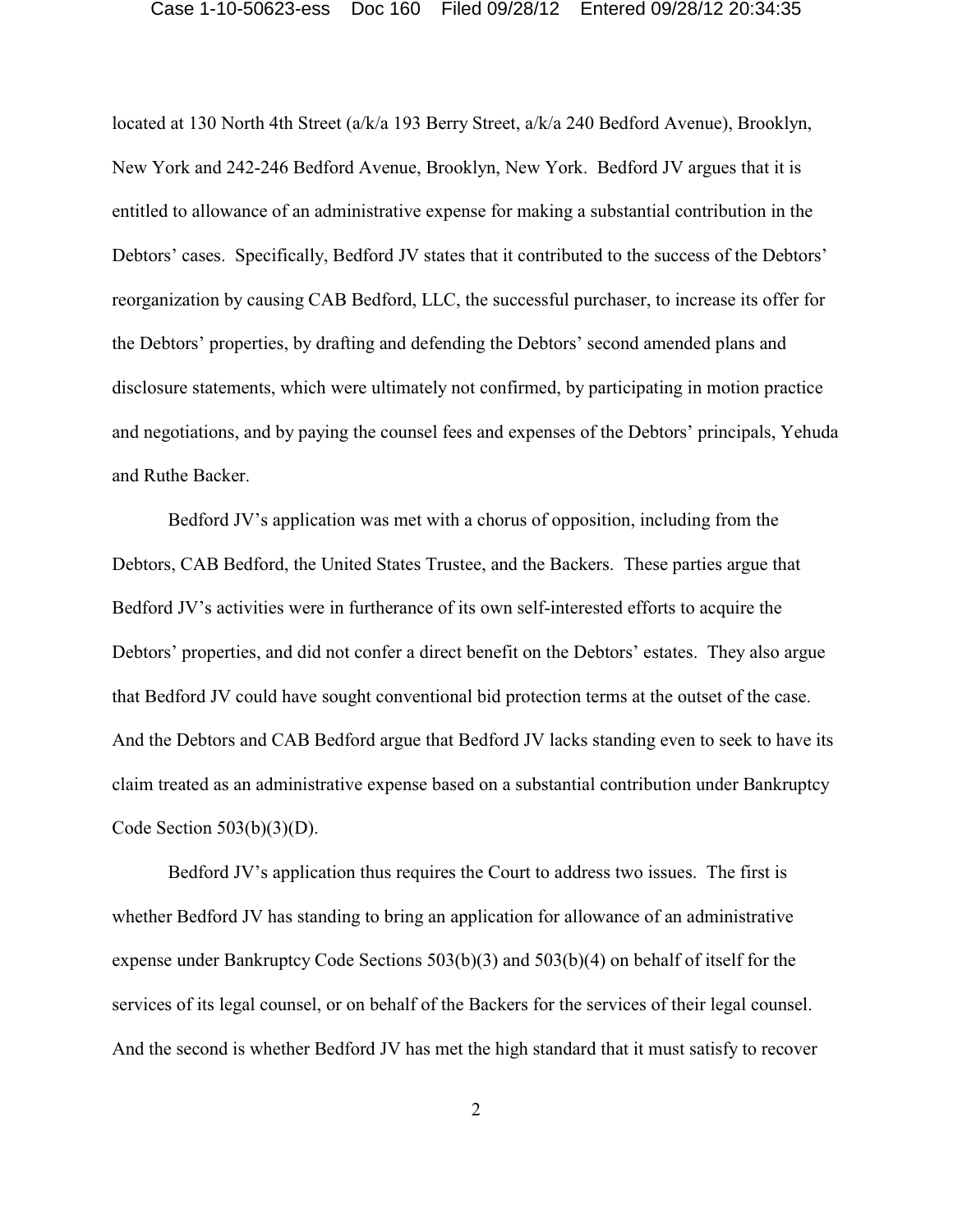located at 130 North 4th Street (a/k/a 193 Berry Street, a/k/a 240 Bedford Avenue), Brooklyn, New York and 242-246 Bedford Avenue, Brooklyn, New York. Bedford JV argues that it is entitled to allowance of an administrative expense for making a substantial contribution in the Debtors' cases. Specifically, Bedford JV states that it contributed to the success of the Debtors' reorganization by causing CAB Bedford, LLC, the successful purchaser, to increase its offer for the Debtors' properties, by drafting and defending the Debtors' second amended plans and disclosure statements, which were ultimately not confirmed, by participating in motion practice and negotiations, and by paying the counsel fees and expenses of the Debtors' principals, Yehuda and Ruthe Backer.

Bedford JV's application was met with a chorus of opposition, including from the Debtors, CAB Bedford, the United States Trustee, and the Backers. These parties argue that Bedford JV's activities were in furtherance of its own self-interested efforts to acquire the Debtors' properties, and did not confer a direct benefit on the Debtors' estates. They also argue that Bedford JV could have sought conventional bid protection terms at the outset of the case. And the Debtors and CAB Bedford argue that Bedford JV lacks standing even to seek to have its claim treated as an administrative expense based on a substantial contribution under Bankruptcy Code Section  $503(b)(3)(D)$ .

Bedford JV's application thus requires the Court to address two issues. The first is whether Bedford JV has standing to bring an application for allowance of an administrative expense under Bankruptcy Code Sections 503(b)(3) and 503(b)(4) on behalf of itself for the services of its legal counsel, or on behalf of the Backers for the services of their legal counsel. And the second is whether Bedford JV has met the high standard that it must satisfy to recover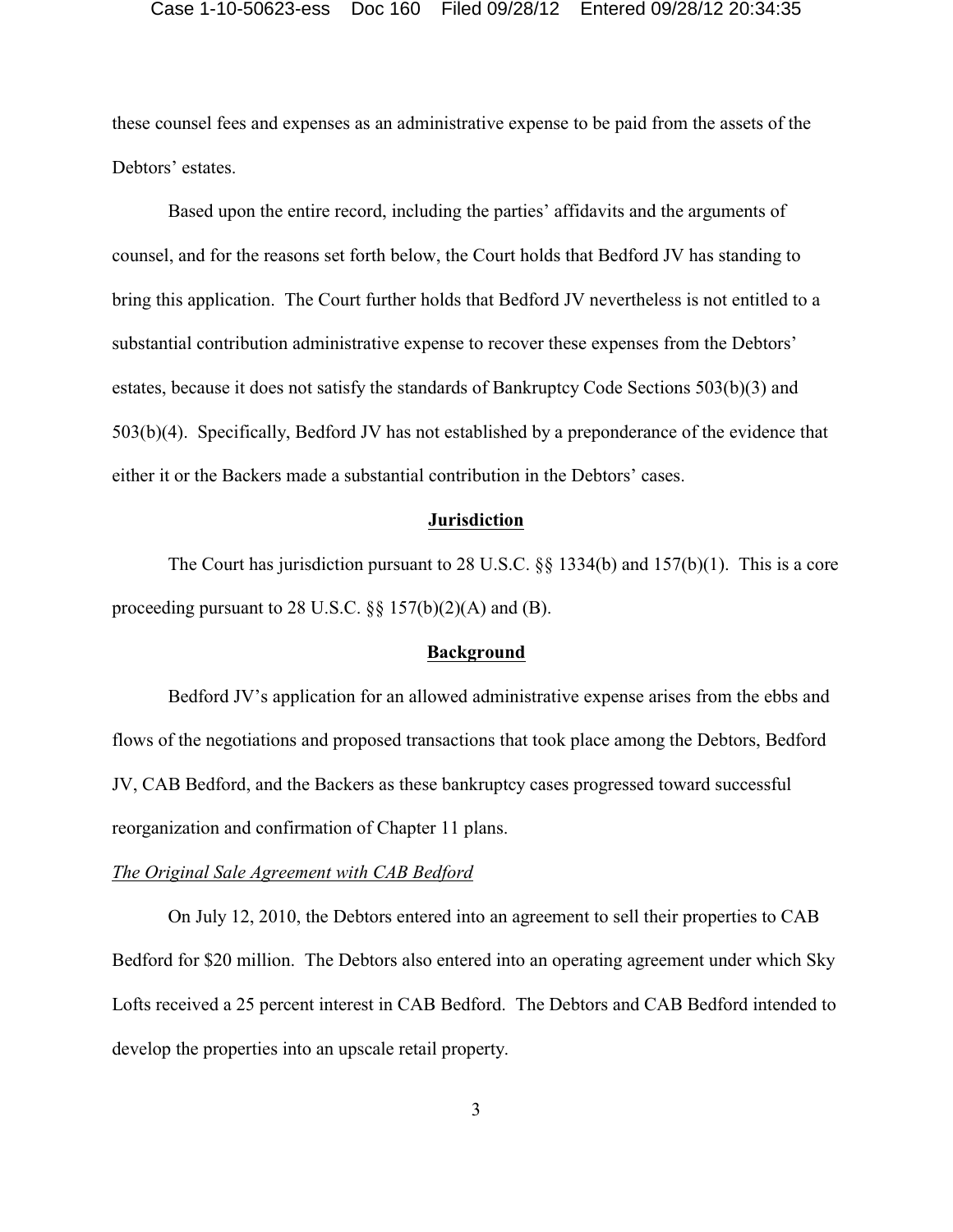these counsel fees and expenses as an administrative expense to be paid from the assets of the Debtors' estates.

Based upon the entire record, including the parties' affidavits and the arguments of counsel, and for the reasons set forth below, the Court holds that Bedford JV has standing to bring this application. The Court further holds that Bedford JV nevertheless is not entitled to a substantial contribution administrative expense to recover these expenses from the Debtors' estates, because it does not satisfy the standards of Bankruptcy Code Sections 503(b)(3) and 503(b)(4). Specifically, Bedford JV has not established by a preponderance of the evidence that either it or the Backers made a substantial contribution in the Debtors' cases.

### **Jurisdiction**

The Court has jurisdiction pursuant to 28 U.S.C. §§ 1334(b) and 157(b)(1). This is a core proceeding pursuant to 28 U.S.C.  $\S$ § 157(b)(2)(A) and (B).

### **Background**

Bedford JV's application for an allowed administrative expense arises from the ebbs and flows of the negotiations and proposed transactions that took place among the Debtors, Bedford JV, CAB Bedford, and the Backers as these bankruptcy cases progressed toward successful reorganization and confirmation of Chapter 11 plans.

## *The Original Sale Agreement with CAB Bedford*

On July 12, 2010, the Debtors entered into an agreement to sell their properties to CAB Bedford for \$20 million. The Debtors also entered into an operating agreement under which Sky Lofts received a 25 percent interest in CAB Bedford. The Debtors and CAB Bedford intended to develop the properties into an upscale retail property.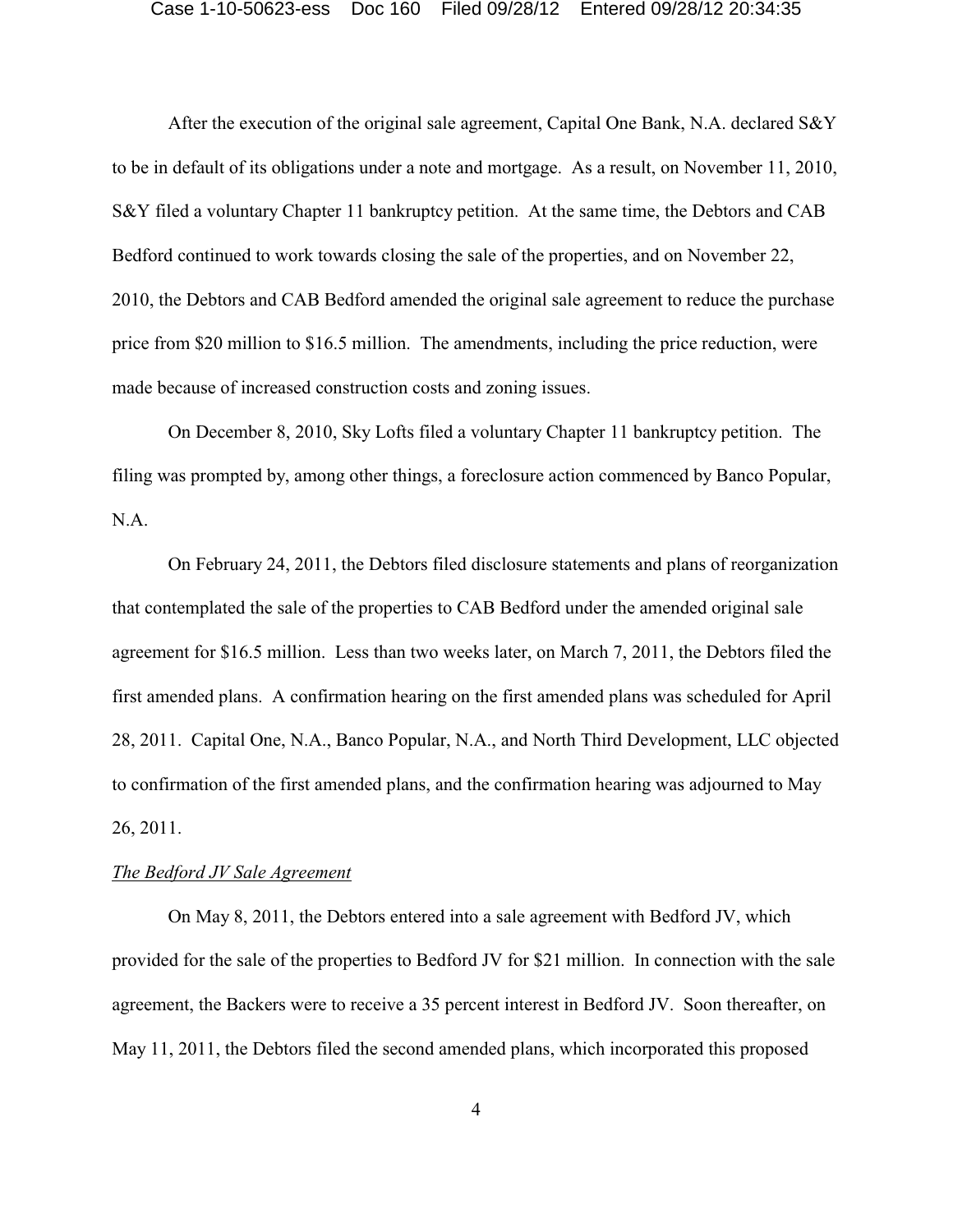After the execution of the original sale agreement, Capital One Bank, N.A. declared S&Y to be in default of its obligations under a note and mortgage. As a result, on November 11, 2010, S&Y filed a voluntary Chapter 11 bankruptcy petition. At the same time, the Debtors and CAB Bedford continued to work towards closing the sale of the properties, and on November 22, 2010, the Debtors and CAB Bedford amended the original sale agreement to reduce the purchase price from \$20 million to \$16.5 million. The amendments, including the price reduction, were made because of increased construction costs and zoning issues.

On December 8, 2010, Sky Lofts filed a voluntary Chapter 11 bankruptcy petition. The filing was prompted by, among other things, a foreclosure action commenced by Banco Popular, N.A.

On February 24, 2011, the Debtors filed disclosure statements and plans of reorganization that contemplated the sale of the properties to CAB Bedford under the amended original sale agreement for \$16.5 million. Less than two weeks later, on March 7, 2011, the Debtors filed the first amended plans. A confirmation hearing on the first amended plans was scheduled for April 28, 2011. Capital One, N.A., Banco Popular, N.A., and North Third Development, LLC objected to confirmation of the first amended plans, and the confirmation hearing was adjourned to May 26, 2011.

## *The Bedford JV Sale Agreement*

On May 8, 2011, the Debtors entered into a sale agreement with Bedford JV, which provided for the sale of the properties to Bedford JV for \$21 million. In connection with the sale agreement, the Backers were to receive a 35 percent interest in Bedford JV. Soon thereafter, on May 11, 2011, the Debtors filed the second amended plans, which incorporated this proposed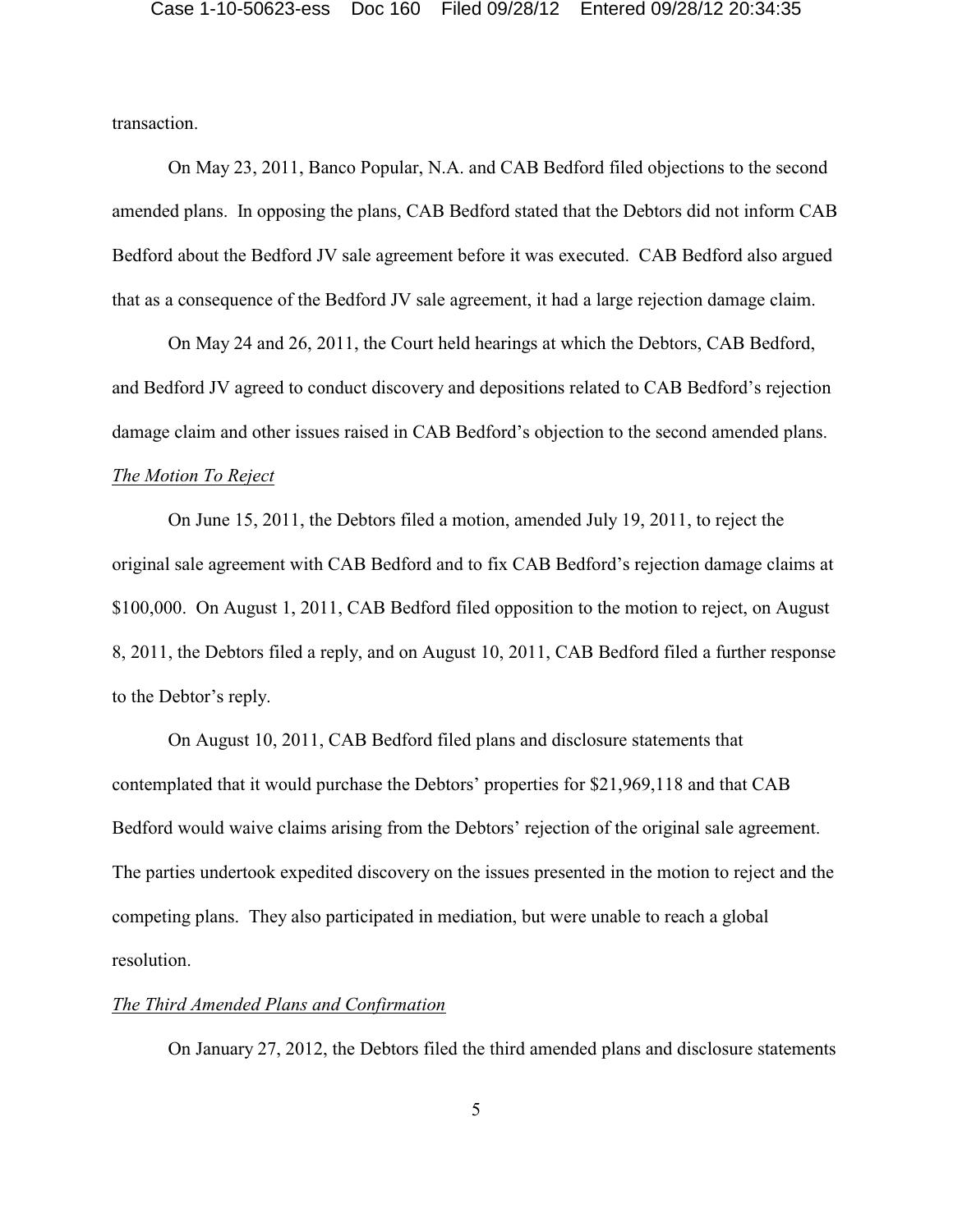transaction.

On May 23, 2011, Banco Popular, N.A. and CAB Bedford filed objections to the second amended plans. In opposing the plans, CAB Bedford stated that the Debtors did not inform CAB Bedford about the Bedford JV sale agreement before it was executed. CAB Bedford also argued that as a consequence of the Bedford JV sale agreement, it had a large rejection damage claim.

On May 24 and 26, 2011, the Court held hearings at which the Debtors, CAB Bedford, and Bedford JV agreed to conduct discovery and depositions related to CAB Bedford's rejection damage claim and other issues raised in CAB Bedford's objection to the second amended plans. *The Motion To Reject*

On June 15, 2011, the Debtors filed a motion, amended July 19, 2011, to reject the original sale agreement with CAB Bedford and to fix CAB Bedford's rejection damage claims at \$100,000. On August 1, 2011, CAB Bedford filed opposition to the motion to reject, on August 8, 2011, the Debtors filed a reply, and on August 10, 2011, CAB Bedford filed a further response to the Debtor's reply.

On August 10, 2011, CAB Bedford filed plans and disclosure statements that contemplated that it would purchase the Debtors' properties for \$21,969,118 and that CAB Bedford would waive claims arising from the Debtors' rejection of the original sale agreement. The parties undertook expedited discovery on the issues presented in the motion to reject and the competing plans. They also participated in mediation, but were unable to reach a global resolution.

## *The Third Amended Plans and Confirmation*

On January 27, 2012, the Debtors filed the third amended plans and disclosure statements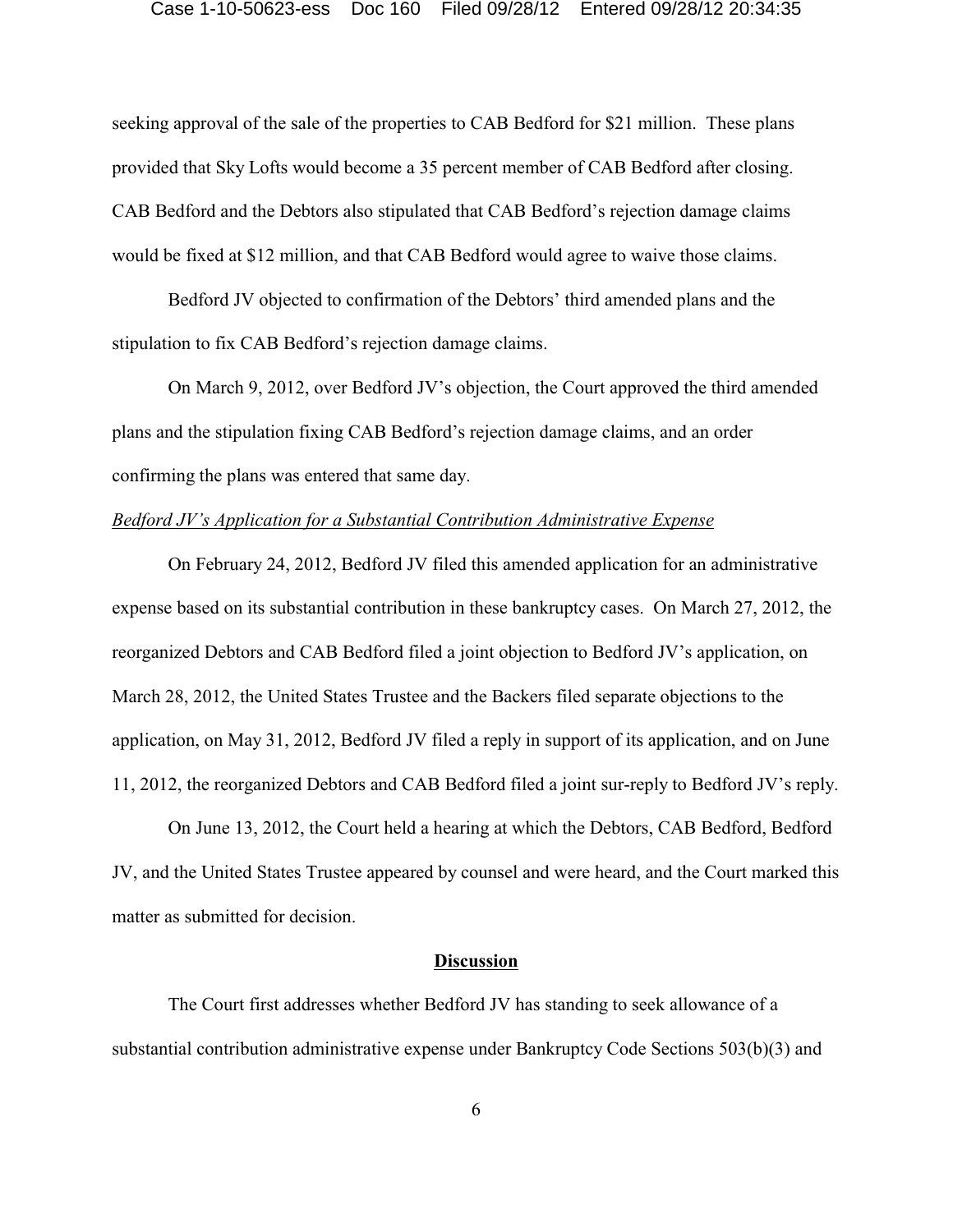seeking approval of the sale of the properties to CAB Bedford for \$21 million. These plans provided that Sky Lofts would become a 35 percent member of CAB Bedford after closing. CAB Bedford and the Debtors also stipulated that CAB Bedford's rejection damage claims would be fixed at \$12 million, and that CAB Bedford would agree to waive those claims.

Bedford JV objected to confirmation of the Debtors' third amended plans and the stipulation to fix CAB Bedford's rejection damage claims.

On March 9, 2012, over Bedford JV's objection, the Court approved the third amended plans and the stipulation fixing CAB Bedford's rejection damage claims, and an order confirming the plans was entered that same day.

## *Bedford JV's Application for a Substantial Contribution Administrative Expense*

On February 24, 2012, Bedford JV filed this amended application for an administrative expense based on its substantial contribution in these bankruptcy cases. On March 27, 2012, the reorganized Debtors and CAB Bedford filed a joint objection to Bedford JV's application, on March 28, 2012, the United States Trustee and the Backers filed separate objections to the application, on May 31, 2012, Bedford JV filed a reply in support of its application, and on June 11, 2012, the reorganized Debtors and CAB Bedford filed a joint sur-reply to Bedford JV's reply.

On June 13, 2012, the Court held a hearing at which the Debtors, CAB Bedford, Bedford JV, and the United States Trustee appeared by counsel and were heard, and the Court marked this matter as submitted for decision.

### **Discussion**

The Court first addresses whether Bedford JV has standing to seek allowance of a substantial contribution administrative expense under Bankruptcy Code Sections 503(b)(3) and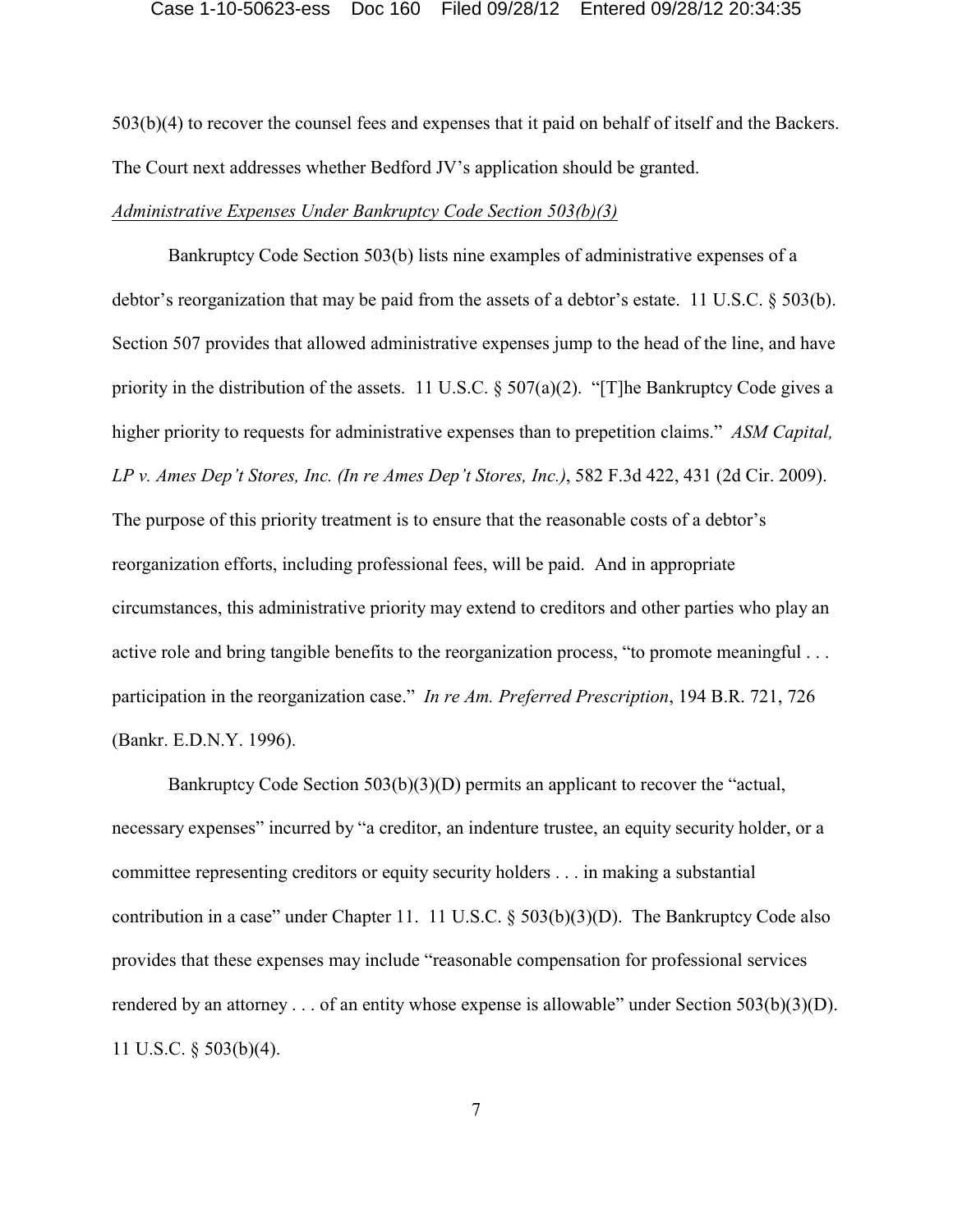503(b)(4) to recover the counsel fees and expenses that it paid on behalf of itself and the Backers. The Court next addresses whether Bedford JV's application should be granted.

## *Administrative Expenses Under Bankruptcy Code Section 503(b)(3)*

Bankruptcy Code Section 503(b) lists nine examples of administrative expenses of a debtor's reorganization that may be paid from the assets of a debtor's estate. 11 U.S.C. § 503(b). Section 507 provides that allowed administrative expenses jump to the head of the line, and have priority in the distribution of the assets. 11 U.S.C.  $\S 507(a)(2)$ . "[T]he Bankruptcy Code gives a higher priority to requests for administrative expenses than to prepetition claims." *ASM Capital, LP v. Ames Dep't Stores, Inc. (In re Ames Dep't Stores, Inc.)*, 582 F.3d 422, 431 (2d Cir. 2009). The purpose of this priority treatment is to ensure that the reasonable costs of a debtor's reorganization efforts, including professional fees, will be paid. And in appropriate circumstances, this administrative priority may extend to creditors and other parties who play an active role and bring tangible benefits to the reorganization process, "to promote meaningful . . . participation in the reorganization case." *In re Am. Preferred Prescription*, 194 B.R. 721, 726 (Bankr. E.D.N.Y. 1996).

Bankruptcy Code Section 503(b)(3)(D) permits an applicant to recover the "actual, necessary expenses" incurred by "a creditor, an indenture trustee, an equity security holder, or a committee representing creditors or equity security holders . . . in making a substantial contribution in a case" under Chapter 11. 11 U.S.C. § 503(b)(3)(D). The Bankruptcy Code also provides that these expenses may include "reasonable compensation for professional services rendered by an attorney . . . of an entity whose expense is allowable" under Section 503(b)(3)(D). 11 U.S.C. § 503(b)(4).

7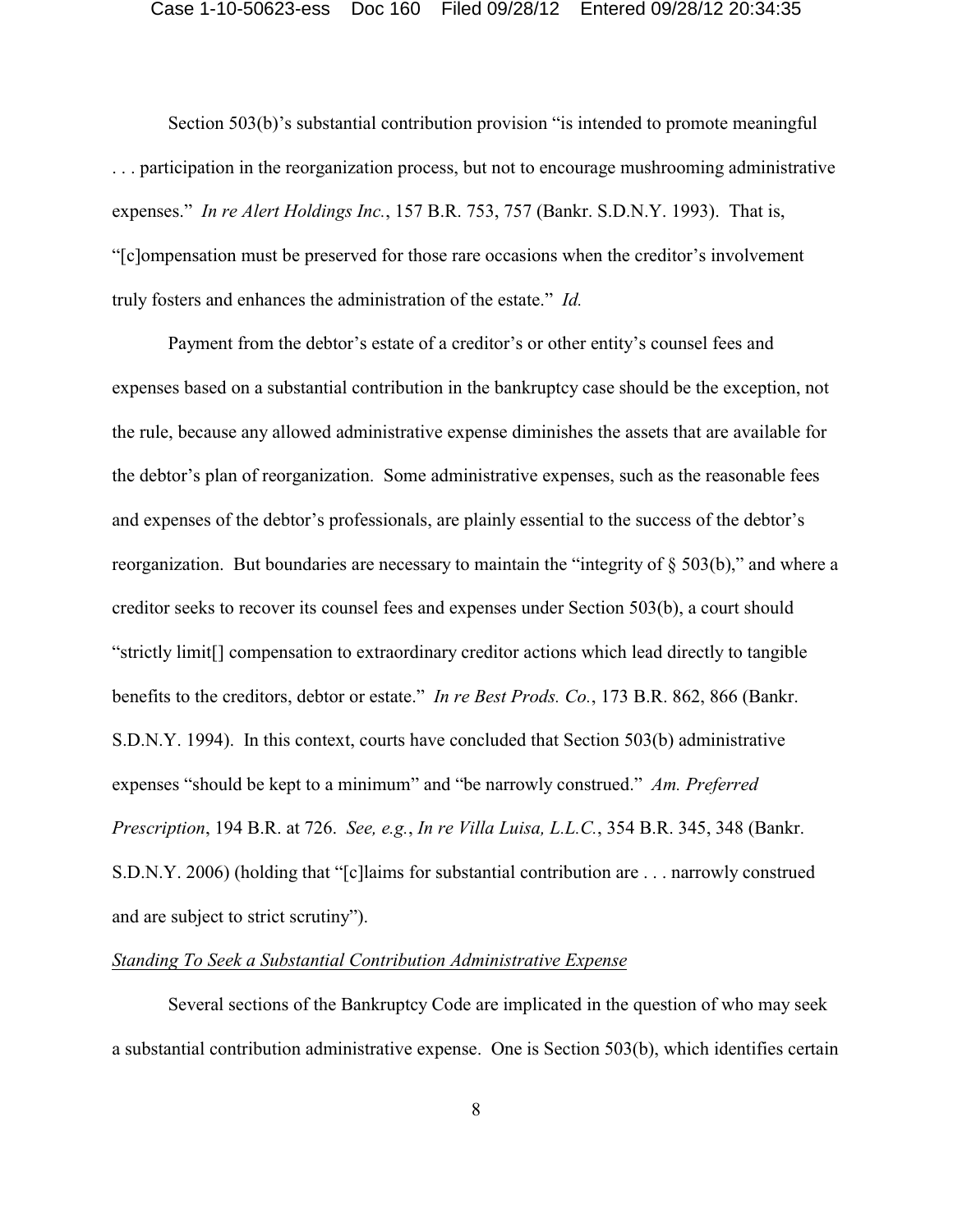Section 503(b)'s substantial contribution provision "is intended to promote meaningful . . . participation in the reorganization process, but not to encourage mushrooming administrative expenses." *In re Alert Holdings Inc.*, 157 B.R. 753, 757 (Bankr. S.D.N.Y. 1993). That is, "[c]ompensation must be preserved for those rare occasions when the creditor's involvement truly fosters and enhances the administration of the estate." *Id.*

Payment from the debtor's estate of a creditor's or other entity's counsel fees and expenses based on a substantial contribution in the bankruptcy case should be the exception, not the rule, because any allowed administrative expense diminishes the assets that are available for the debtor's plan of reorganization. Some administrative expenses, such as the reasonable fees and expenses of the debtor's professionals, are plainly essential to the success of the debtor's reorganization. But boundaries are necessary to maintain the "integrity of § 503(b)," and where a creditor seeks to recover its counsel fees and expenses under Section 503(b), a court should "strictly limit[] compensation to extraordinary creditor actions which lead directly to tangible benefits to the creditors, debtor or estate." *In re Best Prods. Co.*, 173 B.R. 862, 866 (Bankr. S.D.N.Y. 1994). In this context, courts have concluded that Section 503(b) administrative expenses "should be kept to a minimum" and "be narrowly construed." *Am. Preferred Prescription*, 194 B.R. at 726. *See, e.g.*, *In re Villa Luisa, L.L.C.*, 354 B.R. 345, 348 (Bankr. S.D.N.Y. 2006) (holding that "[c]laims for substantial contribution are . . . narrowly construed and are subject to strict scrutiny").

## *Standing To Seek a Substantial Contribution Administrative Expense*

Several sections of the Bankruptcy Code are implicated in the question of who may seek a substantial contribution administrative expense. One is Section 503(b), which identifies certain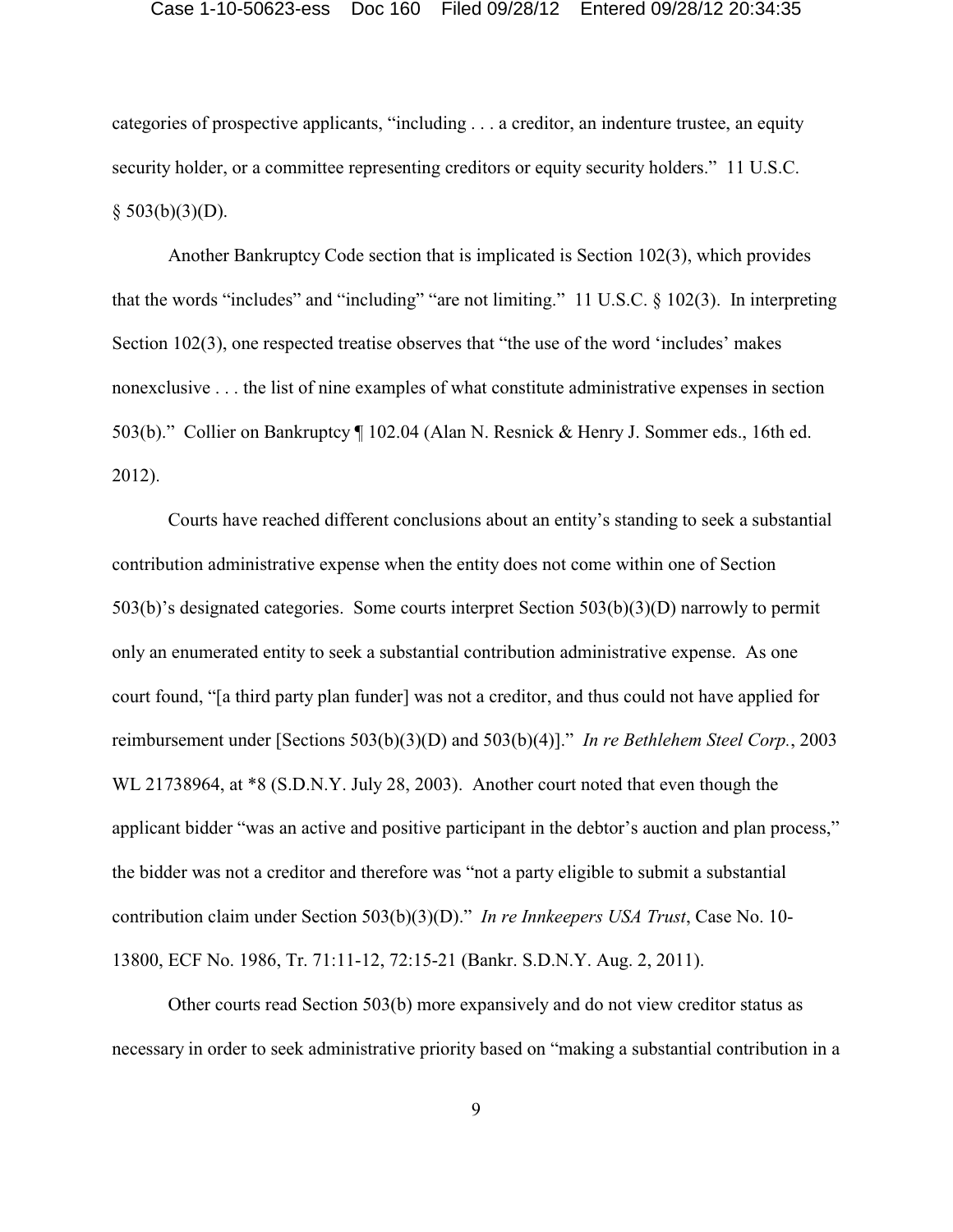categories of prospective applicants, "including . . . a creditor, an indenture trustee, an equity security holder, or a committee representing creditors or equity security holders." 11 U.S.C.  $§$  503(b)(3)(D).

Another Bankruptcy Code section that is implicated is Section 102(3), which provides that the words "includes" and "including" "are not limiting." 11 U.S.C. § 102(3). In interpreting Section 102(3), one respected treatise observes that "the use of the word 'includes' makes nonexclusive . . . the list of nine examples of what constitute administrative expenses in section 503(b)." Collier on Bankruptcy ¶ 102.04 (Alan N. Resnick & Henry J. Sommer eds., 16th ed. 2012).

Courts have reached different conclusions about an entity's standing to seek a substantial contribution administrative expense when the entity does not come within one of Section 503(b)'s designated categories. Some courts interpret Section 503(b)(3)(D) narrowly to permit only an enumerated entity to seek a substantial contribution administrative expense. As one court found, "[a third party plan funder] was not a creditor, and thus could not have applied for reimbursement under [Sections 503(b)(3)(D) and 503(b)(4)]." *In re Bethlehem Steel Corp.*, 2003 WL 21738964, at \*8 (S.D.N.Y. July 28, 2003). Another court noted that even though the applicant bidder "was an active and positive participant in the debtor's auction and plan process," the bidder was not a creditor and therefore was "not a party eligible to submit a substantial contribution claim under Section 503(b)(3)(D)." *In re Innkeepers USA Trust*, Case No. 10- 13800, ECF No. 1986, Tr. 71:11-12, 72:15-21 (Bankr. S.D.N.Y. Aug. 2, 2011).

Other courts read Section 503(b) more expansively and do not view creditor status as necessary in order to seek administrative priority based on "making a substantial contribution in a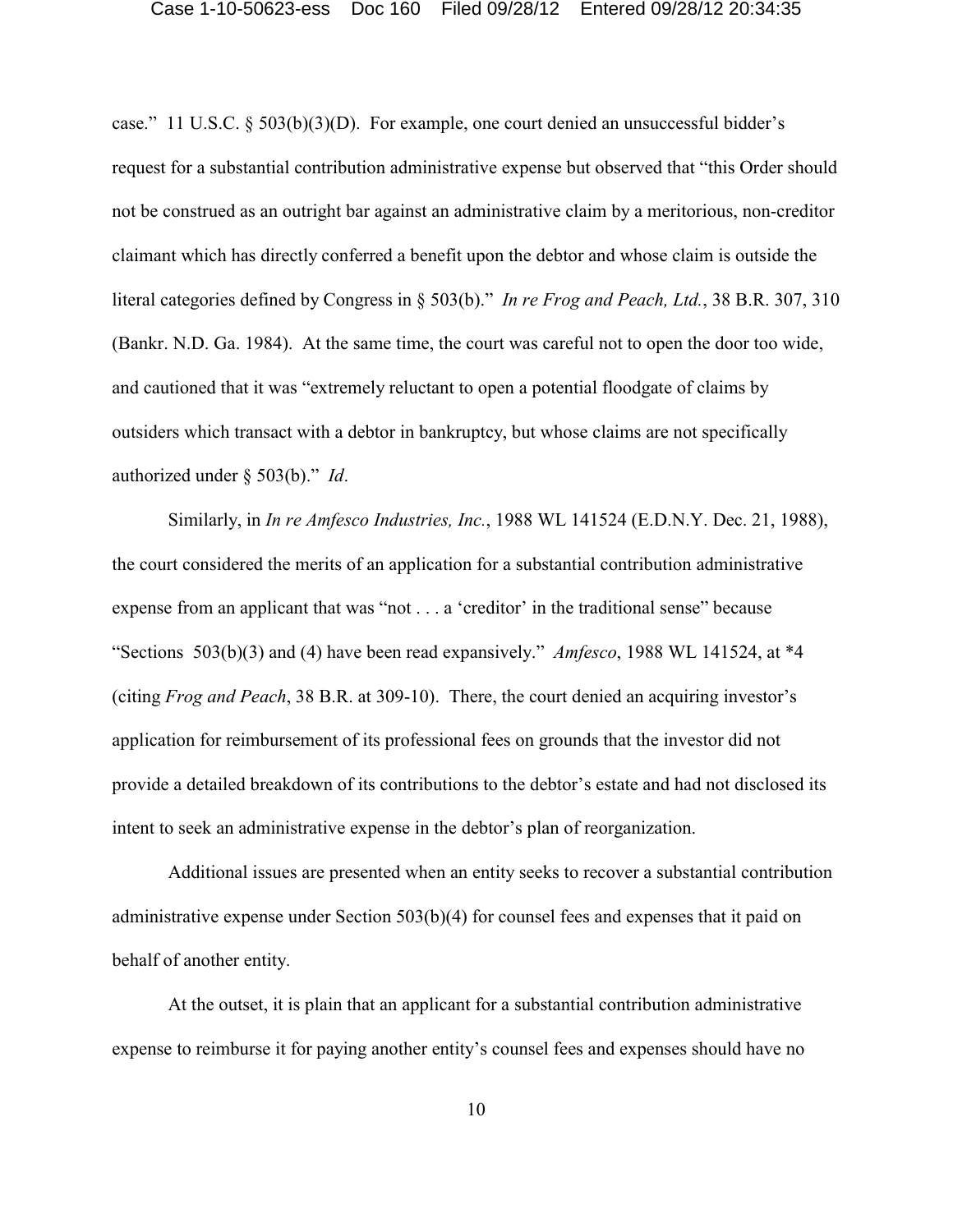case." 11 U.S.C. § 503(b)(3)(D). For example, one court denied an unsuccessful bidder's request for a substantial contribution administrative expense but observed that "this Order should not be construed as an outright bar against an administrative claim by a meritorious, non-creditor claimant which has directly conferred a benefit upon the debtor and whose claim is outside the literal categories defined by Congress in § 503(b)." *In re Frog and Peach, Ltd.*, 38 B.R. 307, 310 (Bankr. N.D. Ga. 1984). At the same time, the court was careful not to open the door too wide, and cautioned that it was "extremely reluctant to open a potential floodgate of claims by outsiders which transact with a debtor in bankruptcy, but whose claims are not specifically authorized under § 503(b)." *Id*.

Similarly, in *In re Amfesco Industries, Inc.*, 1988 WL 141524 (E.D.N.Y. Dec. 21, 1988), the court considered the merits of an application for a substantial contribution administrative expense from an applicant that was "not . . . a 'creditor' in the traditional sense" because "Sections 503(b)(3) and (4) have been read expansively." *Amfesco*, 1988 WL 141524, at \*4 (citing *Frog and Peach*, 38 B.R. at 309-10). There, the court denied an acquiring investor's application for reimbursement of its professional fees on grounds that the investor did not provide a detailed breakdown of its contributions to the debtor's estate and had not disclosed its intent to seek an administrative expense in the debtor's plan of reorganization.

Additional issues are presented when an entity seeks to recover a substantial contribution administrative expense under Section 503(b)(4) for counsel fees and expenses that it paid on behalf of another entity.

At the outset, it is plain that an applicant for a substantial contribution administrative expense to reimburse it for paying another entity's counsel fees and expenses should have no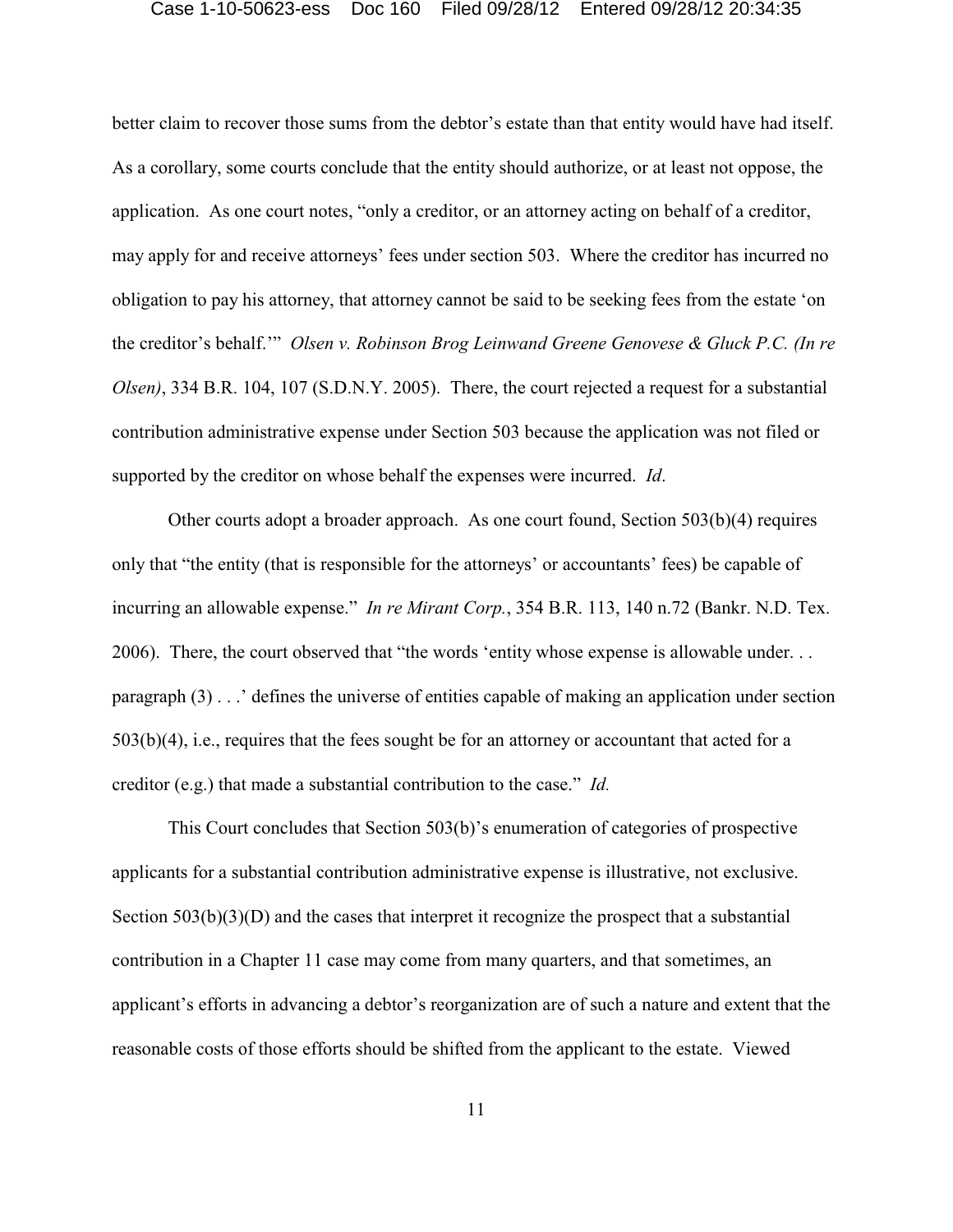better claim to recover those sums from the debtor's estate than that entity would have had itself. As a corollary, some courts conclude that the entity should authorize, or at least not oppose, the application. As one court notes, "only a creditor, or an attorney acting on behalf of a creditor, may apply for and receive attorneys' fees under section 503. Where the creditor has incurred no obligation to pay his attorney, that attorney cannot be said to be seeking fees from the estate 'on the creditor's behalf.'" *Olsen v. Robinson Brog Leinwand Greene Genovese & Gluck P.C. (In re Olsen)*, 334 B.R. 104, 107 (S.D.N.Y. 2005). There, the court rejected a request for a substantial contribution administrative expense under Section 503 because the application was not filed or supported by the creditor on whose behalf the expenses were incurred. *Id*.

Other courts adopt a broader approach. As one court found, Section 503(b)(4) requires only that "the entity (that is responsible for the attorneys' or accountants' fees) be capable of incurring an allowable expense." *In re Mirant Corp.*, 354 B.R. 113, 140 n.72 (Bankr. N.D. Tex. 2006). There, the court observed that "the words 'entity whose expense is allowable under. . . paragraph  $(3)$ ...' defines the universe of entities capable of making an application under section 503(b)(4), i.e., requires that the fees sought be for an attorney or accountant that acted for a creditor (e.g.) that made a substantial contribution to the case." *Id.*

This Court concludes that Section 503(b)'s enumeration of categories of prospective applicants for a substantial contribution administrative expense is illustrative, not exclusive. Section 503(b)(3)(D) and the cases that interpret it recognize the prospect that a substantial contribution in a Chapter 11 case may come from many quarters, and that sometimes, an applicant's efforts in advancing a debtor's reorganization are of such a nature and extent that the reasonable costs of those efforts should be shifted from the applicant to the estate. Viewed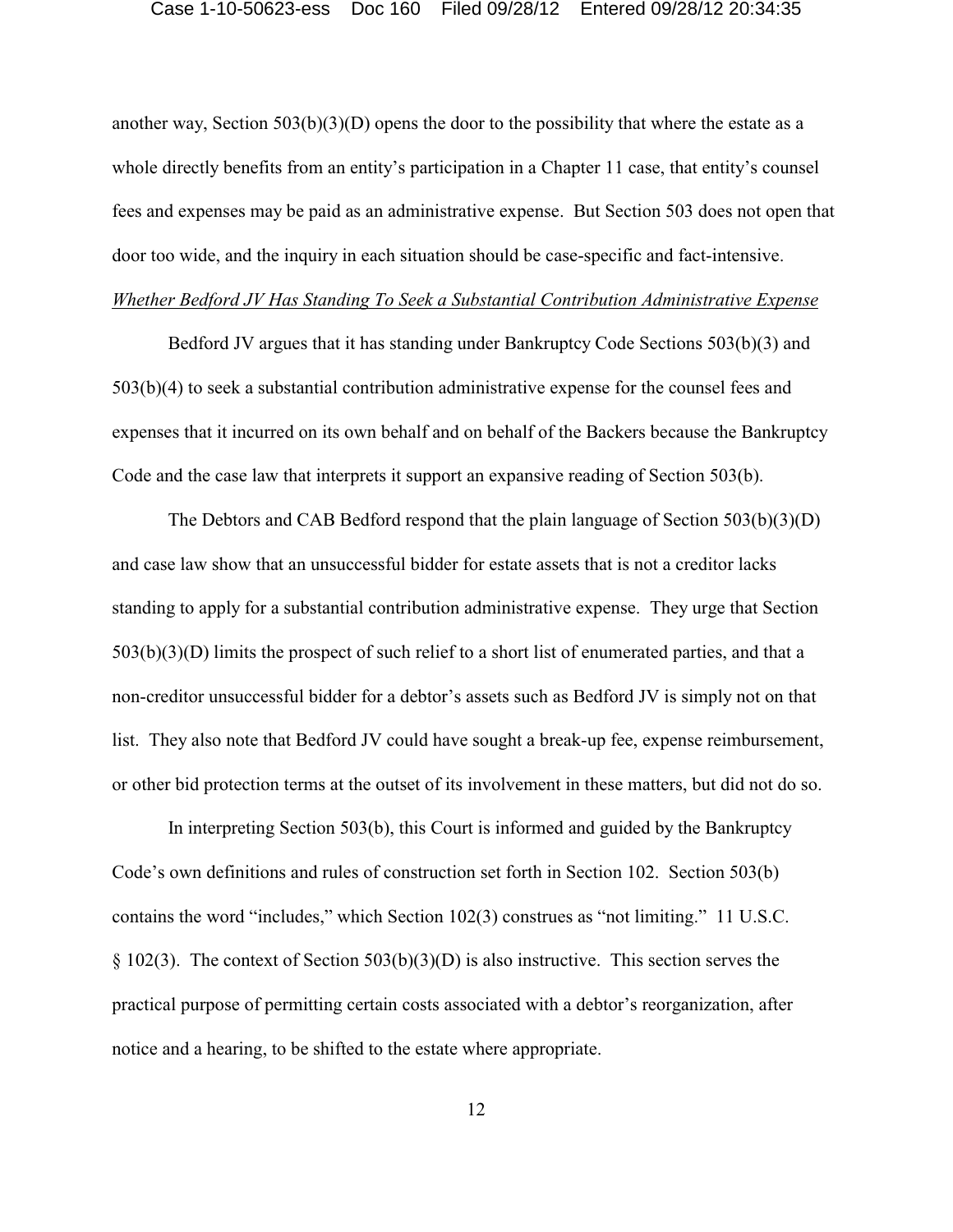another way, Section 503(b)(3)(D) opens the door to the possibility that where the estate as a whole directly benefits from an entity's participation in a Chapter 11 case, that entity's counsel fees and expenses may be paid as an administrative expense. But Section 503 does not open that door too wide, and the inquiry in each situation should be case-specific and fact-intensive. *Whether Bedford JV Has Standing To Seek a Substantial Contribution Administrative Expense*

Bedford JV argues that it has standing under Bankruptcy Code Sections 503(b)(3) and 503(b)(4) to seek a substantial contribution administrative expense for the counsel fees and expenses that it incurred on its own behalf and on behalf of the Backers because the Bankruptcy Code and the case law that interprets it support an expansive reading of Section 503(b).

The Debtors and CAB Bedford respond that the plain language of Section 503(b)(3)(D) and case law show that an unsuccessful bidder for estate assets that is not a creditor lacks standing to apply for a substantial contribution administrative expense. They urge that Section 503(b)(3)(D) limits the prospect of such relief to a short list of enumerated parties, and that a non-creditor unsuccessful bidder for a debtor's assets such as Bedford JV is simply not on that list. They also note that Bedford JV could have sought a break-up fee, expense reimbursement, or other bid protection terms at the outset of its involvement in these matters, but did not do so.

In interpreting Section 503(b), this Court is informed and guided by the Bankruptcy Code's own definitions and rules of construction set forth in Section 102. Section 503(b) contains the word "includes," which Section 102(3) construes as "not limiting." 11 U.S.C. § 102(3). The context of Section 503(b)(3)(D) is also instructive. This section serves the practical purpose of permitting certain costs associated with a debtor's reorganization, after notice and a hearing, to be shifted to the estate where appropriate.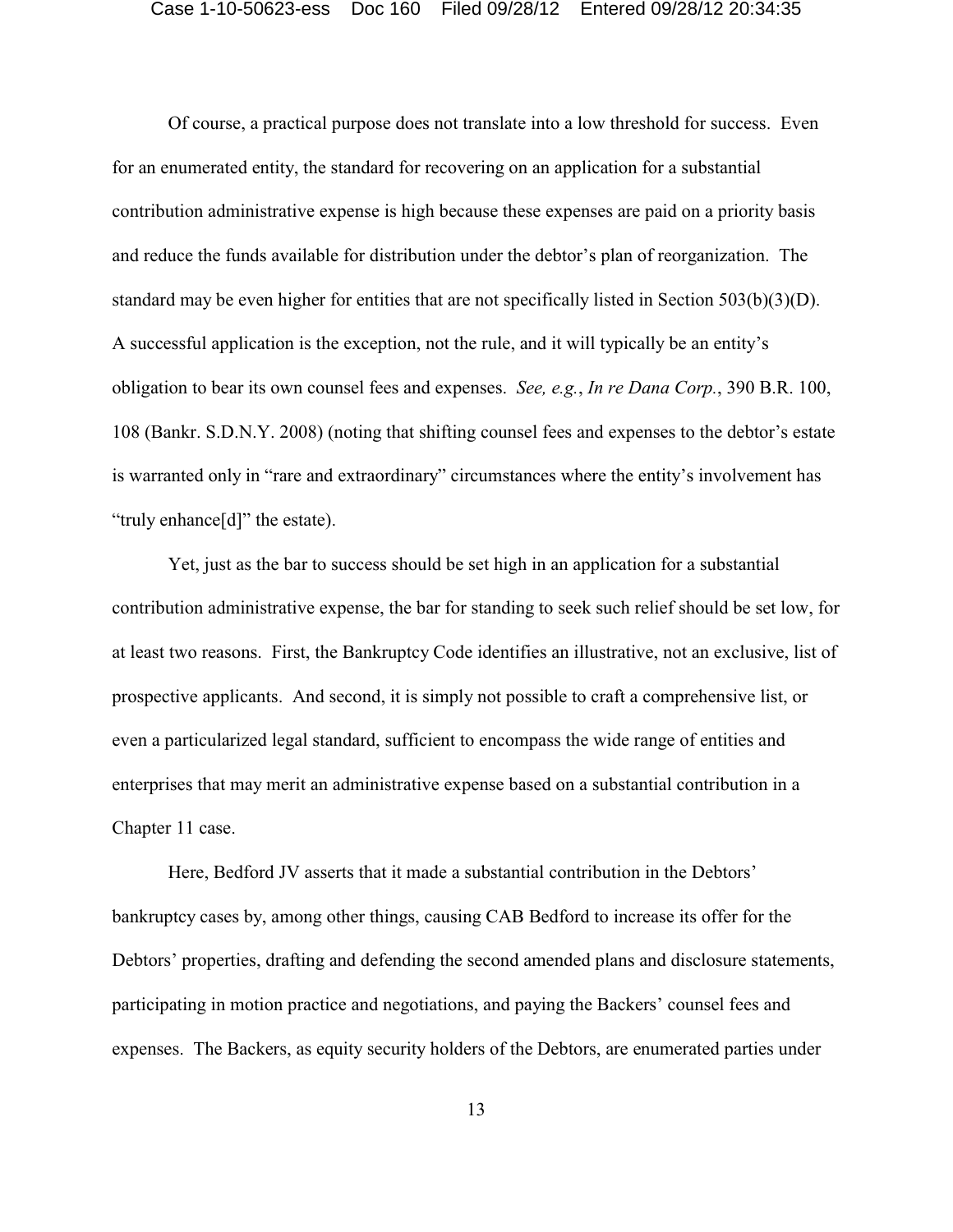Of course, a practical purpose does not translate into a low threshold for success. Even for an enumerated entity, the standard for recovering on an application for a substantial contribution administrative expense is high because these expenses are paid on a priority basis and reduce the funds available for distribution under the debtor's plan of reorganization. The standard may be even higher for entities that are not specifically listed in Section 503(b)(3)(D). A successful application is the exception, not the rule, and it will typically be an entity's obligation to bear its own counsel fees and expenses. *See, e.g.*, *In re Dana Corp.*, 390 B.R. 100, 108 (Bankr. S.D.N.Y. 2008) (noting that shifting counsel fees and expenses to the debtor's estate is warranted only in "rare and extraordinary" circumstances where the entity's involvement has "truly enhance[d]" the estate).

Yet, just as the bar to success should be set high in an application for a substantial contribution administrative expense, the bar for standing to seek such relief should be set low, for at least two reasons. First, the Bankruptcy Code identifies an illustrative, not an exclusive, list of prospective applicants. And second, it is simply not possible to craft a comprehensive list, or even a particularized legal standard, sufficient to encompass the wide range of entities and enterprises that may merit an administrative expense based on a substantial contribution in a Chapter 11 case.

Here, Bedford JV asserts that it made a substantial contribution in the Debtors' bankruptcy cases by, among other things, causing CAB Bedford to increase its offer for the Debtors' properties, drafting and defending the second amended plans and disclosure statements, participating in motion practice and negotiations, and paying the Backers' counsel fees and expenses. The Backers, as equity security holders of the Debtors, are enumerated parties under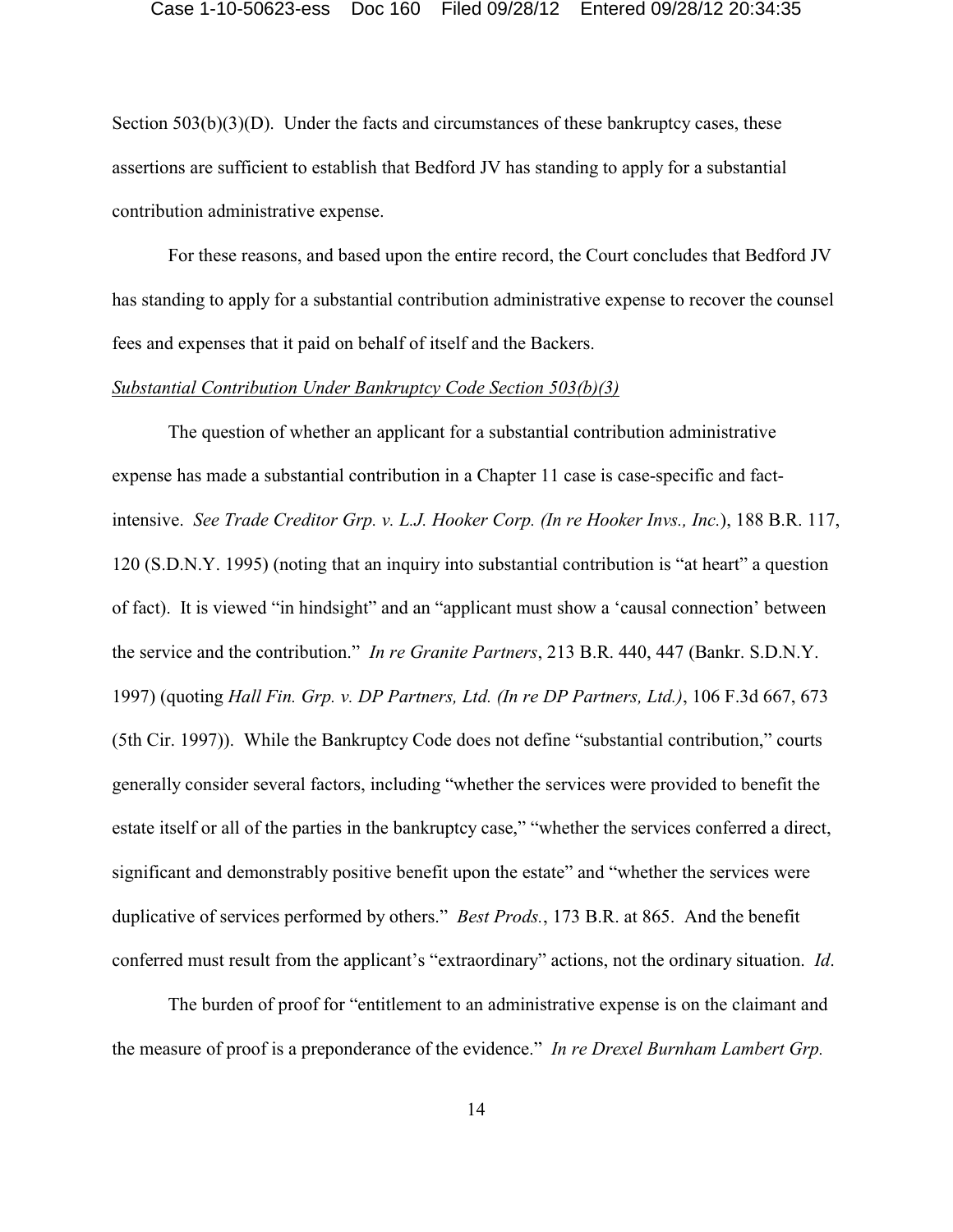Section  $503(b)(3)(D)$ . Under the facts and circumstances of these bankruptcy cases, these assertions are sufficient to establish that Bedford JV has standing to apply for a substantial contribution administrative expense.

For these reasons, and based upon the entire record, the Court concludes that Bedford JV has standing to apply for a substantial contribution administrative expense to recover the counsel fees and expenses that it paid on behalf of itself and the Backers.

## *Substantial Contribution Under Bankruptcy Code Section 503(b)(3)*

The question of whether an applicant for a substantial contribution administrative expense has made a substantial contribution in a Chapter 11 case is case-specific and factintensive. *See Trade Creditor Grp. v. L.J. Hooker Corp. (In re Hooker Invs., Inc.*), 188 B.R. 117, 120 (S.D.N.Y. 1995) (noting that an inquiry into substantial contribution is "at heart" a question of fact). It is viewed "in hindsight" and an "applicant must show a 'causal connection' between the service and the contribution." *In re Granite Partners*, 213 B.R. 440, 447 (Bankr. S.D.N.Y. 1997) (quoting *Hall Fin. Grp. v. DP Partners, Ltd. (In re DP Partners, Ltd.)*, 106 F.3d 667, 673 (5th Cir. 1997)). While the Bankruptcy Code does not define "substantial contribution," courts generally consider several factors, including "whether the services were provided to benefit the estate itself or all of the parties in the bankruptcy case," "whether the services conferred a direct, significant and demonstrably positive benefit upon the estate" and "whether the services were duplicative of services performed by others." *Best Prods.*, 173 B.R. at 865. And the benefit conferred must result from the applicant's "extraordinary" actions, not the ordinary situation. *Id*.

The burden of proof for "entitlement to an administrative expense is on the claimant and the measure of proof is a preponderance of the evidence." *In re Drexel Burnham Lambert Grp.*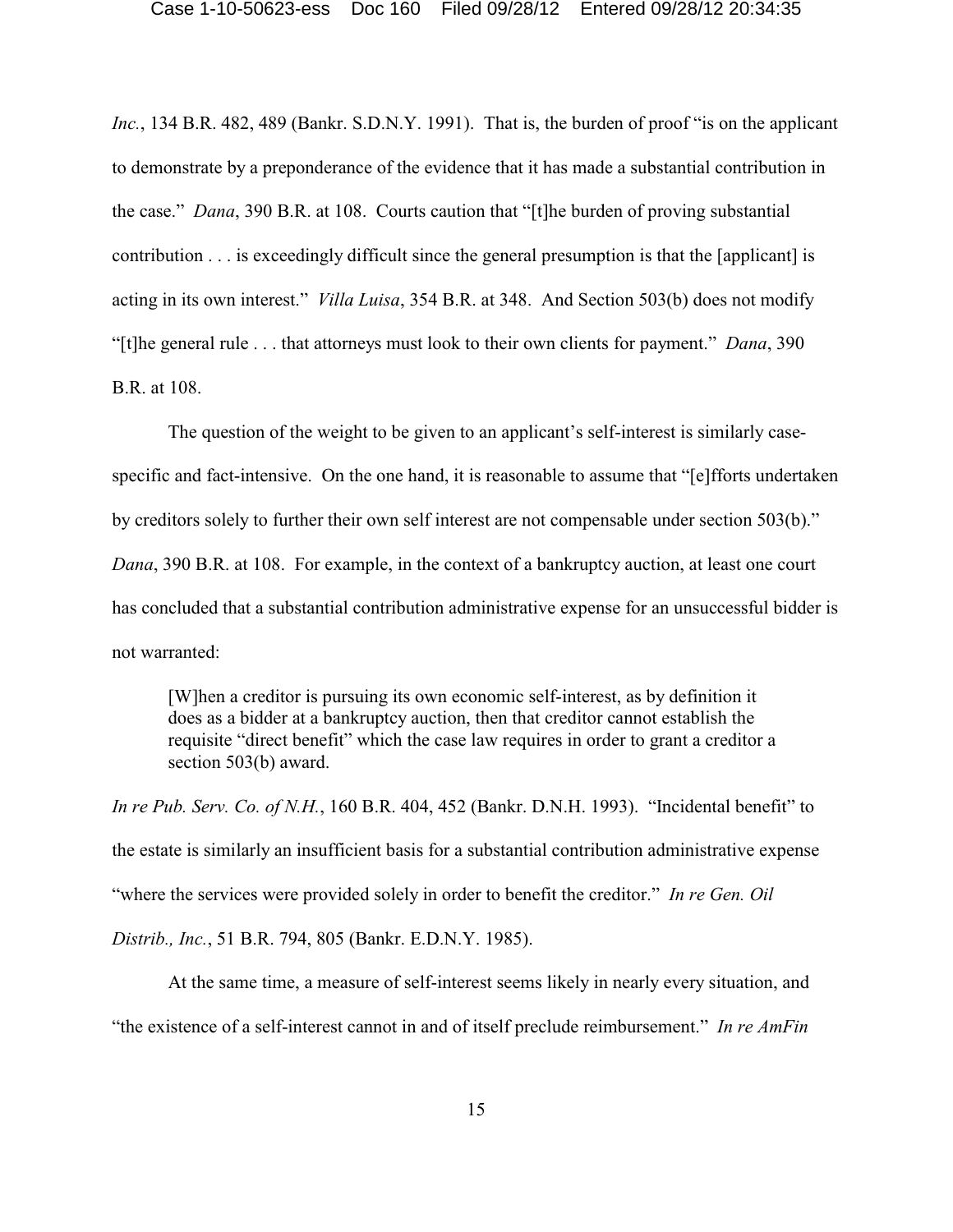*Inc.*, 134 B.R. 482, 489 (Bankr. S.D.N.Y. 1991). That is, the burden of proof "is on the applicant to demonstrate by a preponderance of the evidence that it has made a substantial contribution in the case." *Dana*, 390 B.R. at 108. Courts caution that "[t]he burden of proving substantial contribution . . . is exceedingly difficult since the general presumption is that the [applicant] is acting in its own interest." *Villa Luisa*, 354 B.R. at 348. And Section 503(b) does not modify "[t]he general rule . . . that attorneys must look to their own clients for payment." *Dana*, 390 B.R. at 108.

The question of the weight to be given to an applicant's self-interest is similarly casespecific and fact-intensive. On the one hand, it is reasonable to assume that "[e]fforts undertaken by creditors solely to further their own self interest are not compensable under section 503(b)." *Dana*, 390 B.R. at 108. For example, in the context of a bankruptcy auction, at least one court has concluded that a substantial contribution administrative expense for an unsuccessful bidder is not warranted:

[W]hen a creditor is pursuing its own economic self-interest, as by definition it does as a bidder at a bankruptcy auction, then that creditor cannot establish the requisite "direct benefit" which the case law requires in order to grant a creditor a section 503(b) award.

*In re Pub. Serv. Co. of N.H.*, 160 B.R. 404, 452 (Bankr. D.N.H. 1993). "Incidental benefit" to the estate is similarly an insufficient basis for a substantial contribution administrative expense "where the services were provided solely in order to benefit the creditor." *In re Gen. Oil Distrib., Inc.*, 51 B.R. 794, 805 (Bankr. E.D.N.Y. 1985).

At the same time, a measure of self-interest seems likely in nearly every situation, and "the existence of a self-interest cannot in and of itself preclude reimbursement." *In re AmFin*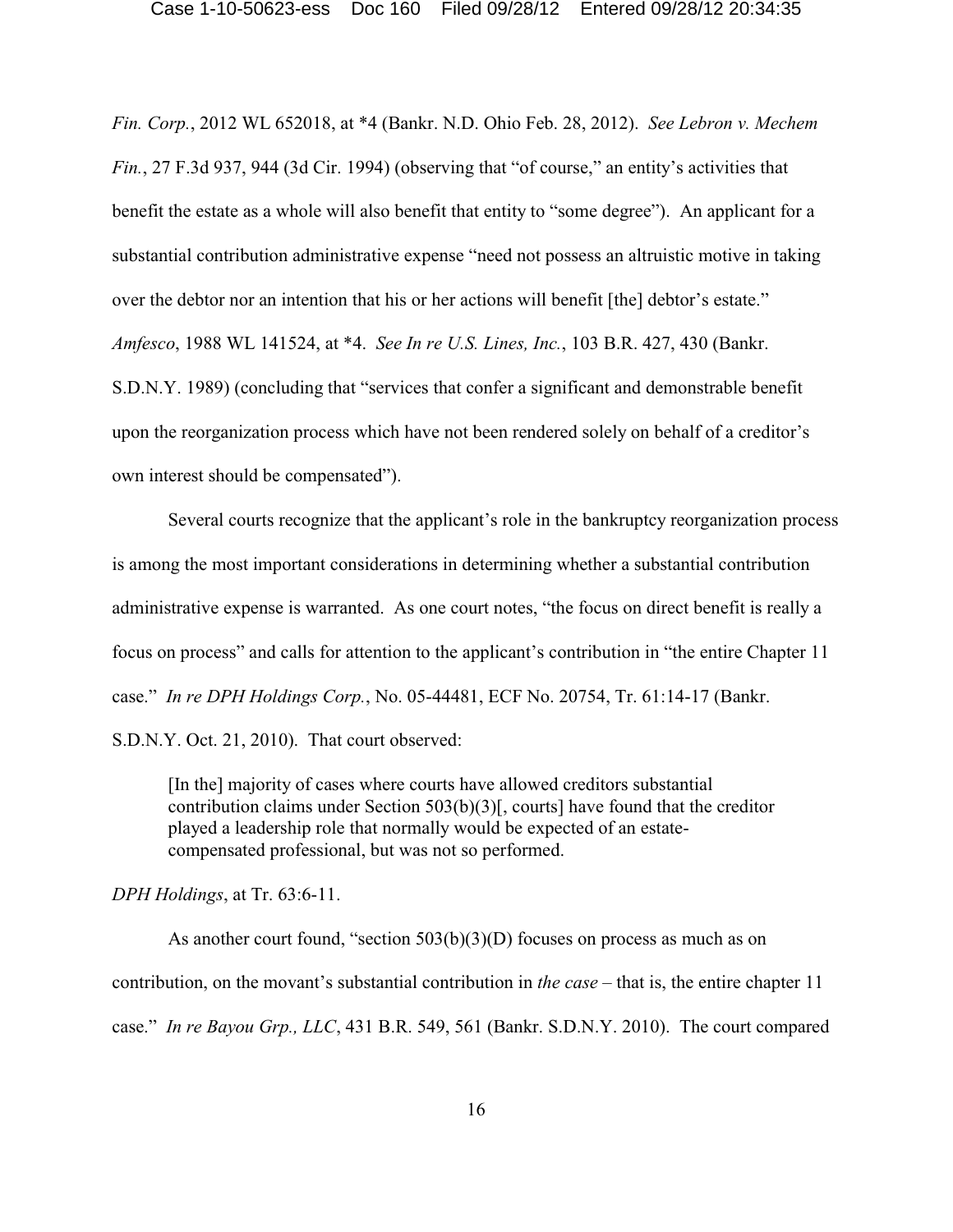*Fin. Corp.*, 2012 WL 652018, at \*4 (Bankr. N.D. Ohio Feb. 28, 2012). *See Lebron v. Mechem Fin.*, 27 F.3d 937, 944 (3d Cir. 1994) (observing that "of course," an entity's activities that benefit the estate as a whole will also benefit that entity to "some degree"). An applicant for a substantial contribution administrative expense "need not possess an altruistic motive in taking over the debtor nor an intention that his or her actions will benefit [the] debtor's estate." *Amfesco*, 1988 WL 141524, at \*4. *See In re U.S. Lines, Inc.*, 103 B.R. 427, 430 (Bankr. S.D.N.Y. 1989) (concluding that "services that confer a significant and demonstrable benefit upon the reorganization process which have not been rendered solely on behalf of a creditor's own interest should be compensated").

Several courts recognize that the applicant's role in the bankruptcy reorganization process is among the most important considerations in determining whether a substantial contribution administrative expense is warranted. As one court notes, "the focus on direct benefit is really a focus on process" and calls for attention to the applicant's contribution in "the entire Chapter 11 case." *In re DPH Holdings Corp.*, No. 05-44481, ECF No. 20754, Tr. 61:14-17 (Bankr.

S.D.N.Y. Oct. 21, 2010). That court observed:

[In the] majority of cases where courts have allowed creditors substantial contribution claims under Section 503(b)(3)[, courts] have found that the creditor played a leadership role that normally would be expected of an estatecompensated professional, but was not so performed.

*DPH Holdings*, at Tr. 63:6-11.

As another court found, "section  $503(b)(3)(D)$  focuses on process as much as on contribution, on the movant's substantial contribution in *the case* – that is, the entire chapter 11 case." *In re Bayou Grp., LLC*, 431 B.R. 549, 561 (Bankr. S.D.N.Y. 2010). The court compared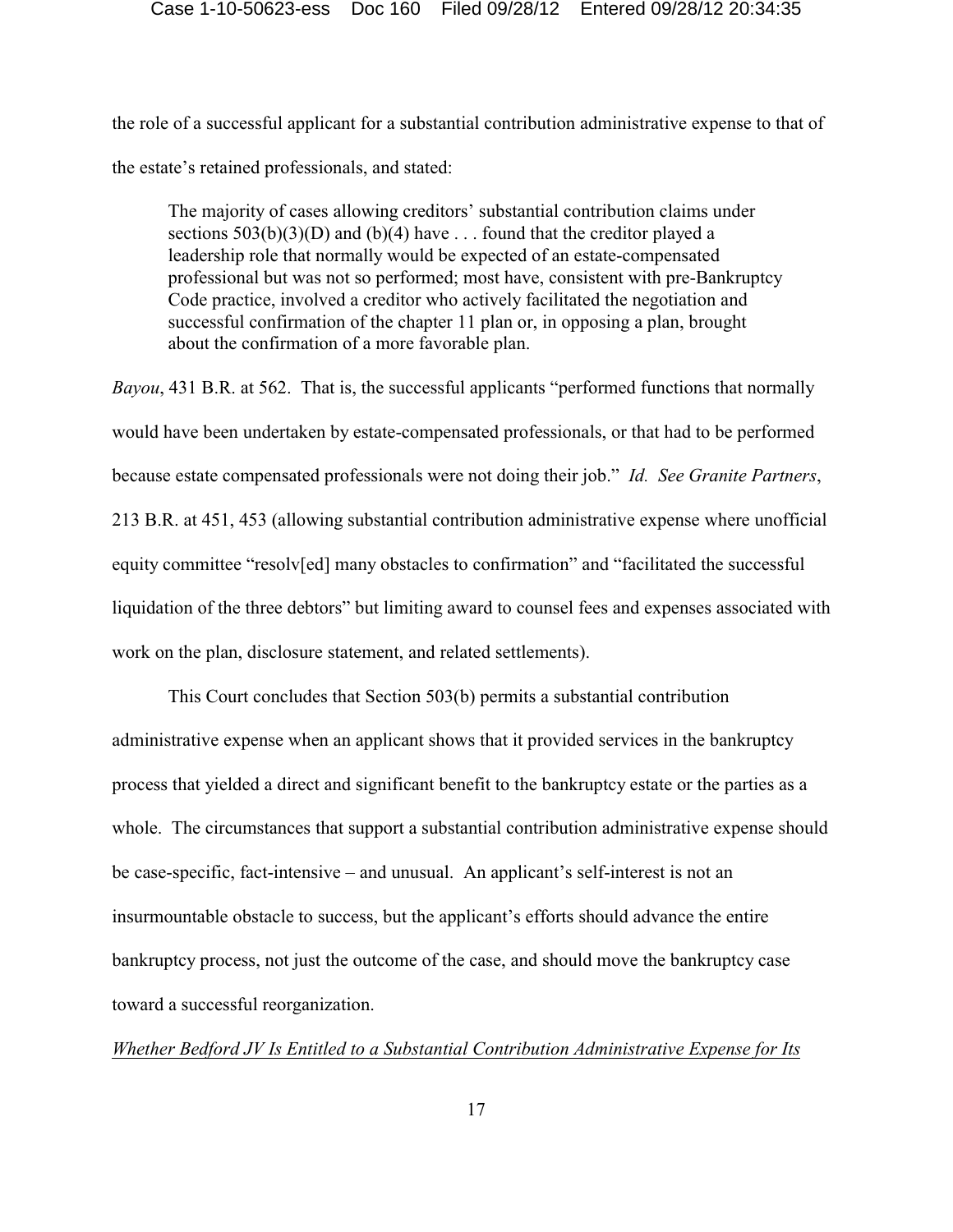the role of a successful applicant for a substantial contribution administrative expense to that of the estate's retained professionals, and stated:

The majority of cases allowing creditors' substantial contribution claims under sections  $503(b)(3)(D)$  and  $(b)(4)$  have ... found that the creditor played a leadership role that normally would be expected of an estate-compensated professional but was not so performed; most have, consistent with pre-Bankruptcy Code practice, involved a creditor who actively facilitated the negotiation and successful confirmation of the chapter 11 plan or, in opposing a plan, brought about the confirmation of a more favorable plan.

*Bayou*, 431 B.R. at 562. That is, the successful applicants "performed functions that normally would have been undertaken by estate-compensated professionals, or that had to be performed because estate compensated professionals were not doing their job." *Id. See Granite Partners*, 213 B.R. at 451, 453 (allowing substantial contribution administrative expense where unofficial equity committee "resolv[ed] many obstacles to confirmation" and "facilitated the successful liquidation of the three debtors" but limiting award to counsel fees and expenses associated with work on the plan, disclosure statement, and related settlements).

This Court concludes that Section 503(b) permits a substantial contribution administrative expense when an applicant shows that it provided services in the bankruptcy process that yielded a direct and significant benefit to the bankruptcy estate or the parties as a whole. The circumstances that support a substantial contribution administrative expense should be case-specific, fact-intensive – and unusual. An applicant's self-interest is not an insurmountable obstacle to success, but the applicant's efforts should advance the entire bankruptcy process, not just the outcome of the case, and should move the bankruptcy case toward a successful reorganization.

## *Whether Bedford JV Is Entitled to a Substantial Contribution Administrative Expense for Its*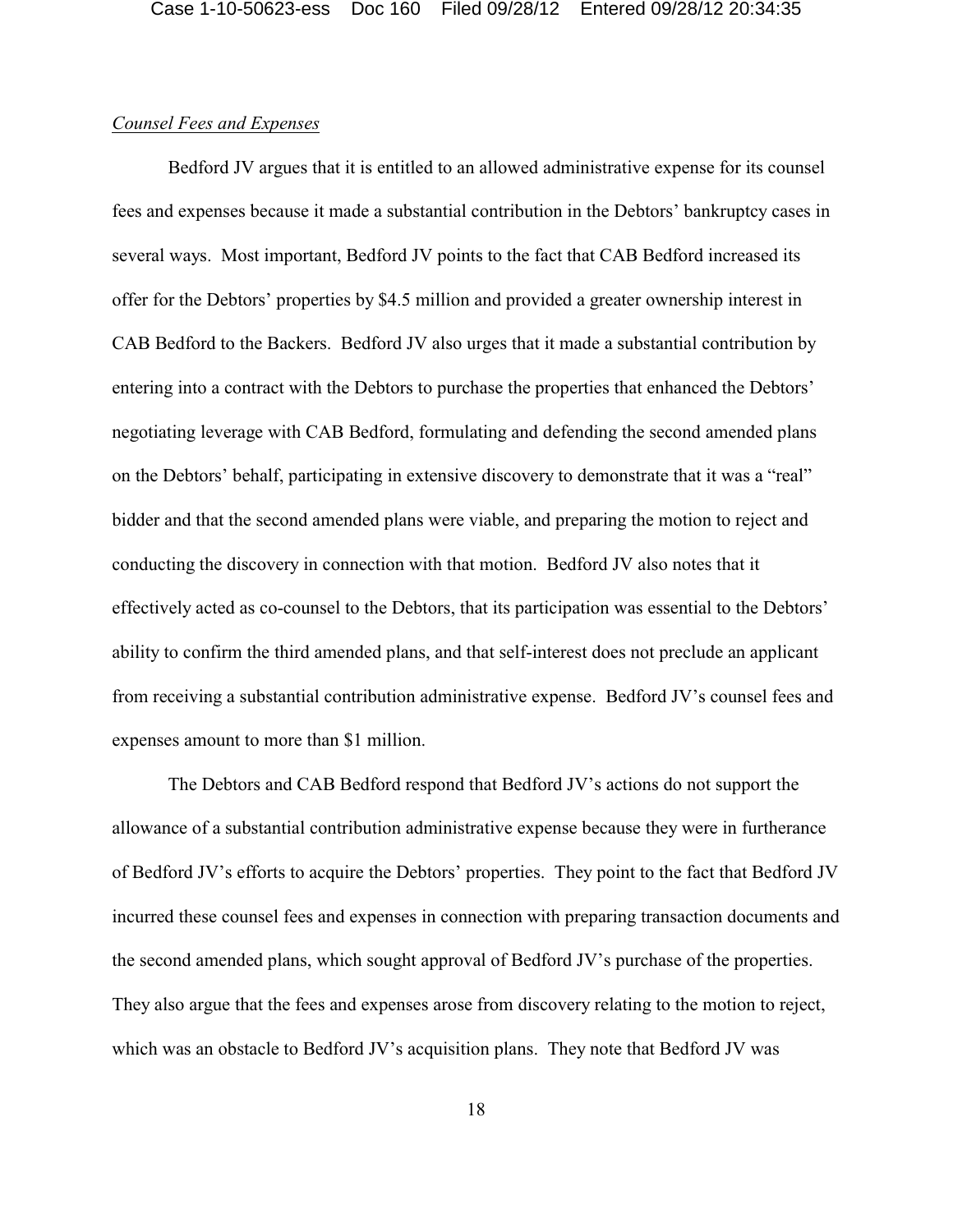## *Counsel Fees and Expenses*

Bedford JV argues that it is entitled to an allowed administrative expense for its counsel fees and expenses because it made a substantial contribution in the Debtors' bankruptcy cases in several ways. Most important, Bedford JV points to the fact that CAB Bedford increased its offer for the Debtors' properties by \$4.5 million and provided a greater ownership interest in CAB Bedford to the Backers. Bedford JV also urges that it made a substantial contribution by entering into a contract with the Debtors to purchase the properties that enhanced the Debtors' negotiating leverage with CAB Bedford, formulating and defending the second amended plans on the Debtors' behalf, participating in extensive discovery to demonstrate that it was a "real" bidder and that the second amended plans were viable, and preparing the motion to reject and conducting the discovery in connection with that motion. Bedford JV also notes that it effectively acted as co-counsel to the Debtors, that its participation was essential to the Debtors' ability to confirm the third amended plans, and that self-interest does not preclude an applicant from receiving a substantial contribution administrative expense. Bedford JV's counsel fees and expenses amount to more than \$1 million.

The Debtors and CAB Bedford respond that Bedford JV's actions do not support the allowance of a substantial contribution administrative expense because they were in furtherance of Bedford JV's efforts to acquire the Debtors' properties. They point to the fact that Bedford JV incurred these counsel fees and expenses in connection with preparing transaction documents and the second amended plans, which sought approval of Bedford JV's purchase of the properties. They also argue that the fees and expenses arose from discovery relating to the motion to reject, which was an obstacle to Bedford JV's acquisition plans. They note that Bedford JV was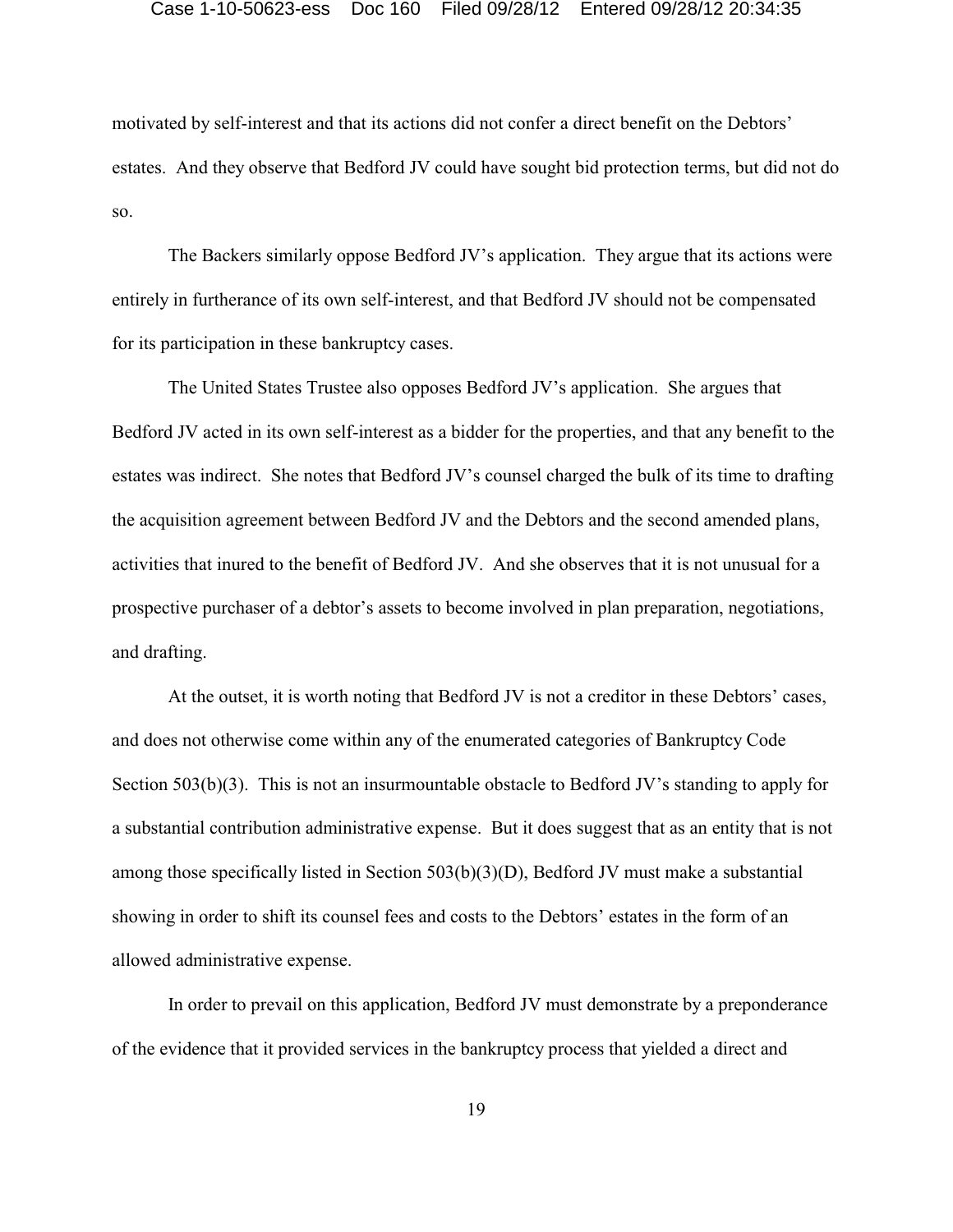motivated by self-interest and that its actions did not confer a direct benefit on the Debtors' estates. And they observe that Bedford JV could have sought bid protection terms, but did not do so.

The Backers similarly oppose Bedford JV's application. They argue that its actions were entirely in furtherance of its own self-interest, and that Bedford JV should not be compensated for its participation in these bankruptcy cases.

The United States Trustee also opposes Bedford JV's application. She argues that Bedford JV acted in its own self-interest as a bidder for the properties, and that any benefit to the estates was indirect. She notes that Bedford JV's counsel charged the bulk of its time to drafting the acquisition agreement between Bedford JV and the Debtors and the second amended plans, activities that inured to the benefit of Bedford JV. And she observes that it is not unusual for a prospective purchaser of a debtor's assets to become involved in plan preparation, negotiations, and drafting.

At the outset, it is worth noting that Bedford JV is not a creditor in these Debtors' cases, and does not otherwise come within any of the enumerated categories of Bankruptcy Code Section 503(b)(3). This is not an insurmountable obstacle to Bedford JV's standing to apply for a substantial contribution administrative expense. But it does suggest that as an entity that is not among those specifically listed in Section 503(b)(3)(D), Bedford JV must make a substantial showing in order to shift its counsel fees and costs to the Debtors' estates in the form of an allowed administrative expense.

In order to prevail on this application, Bedford JV must demonstrate by a preponderance of the evidence that it provided services in the bankruptcy process that yielded a direct and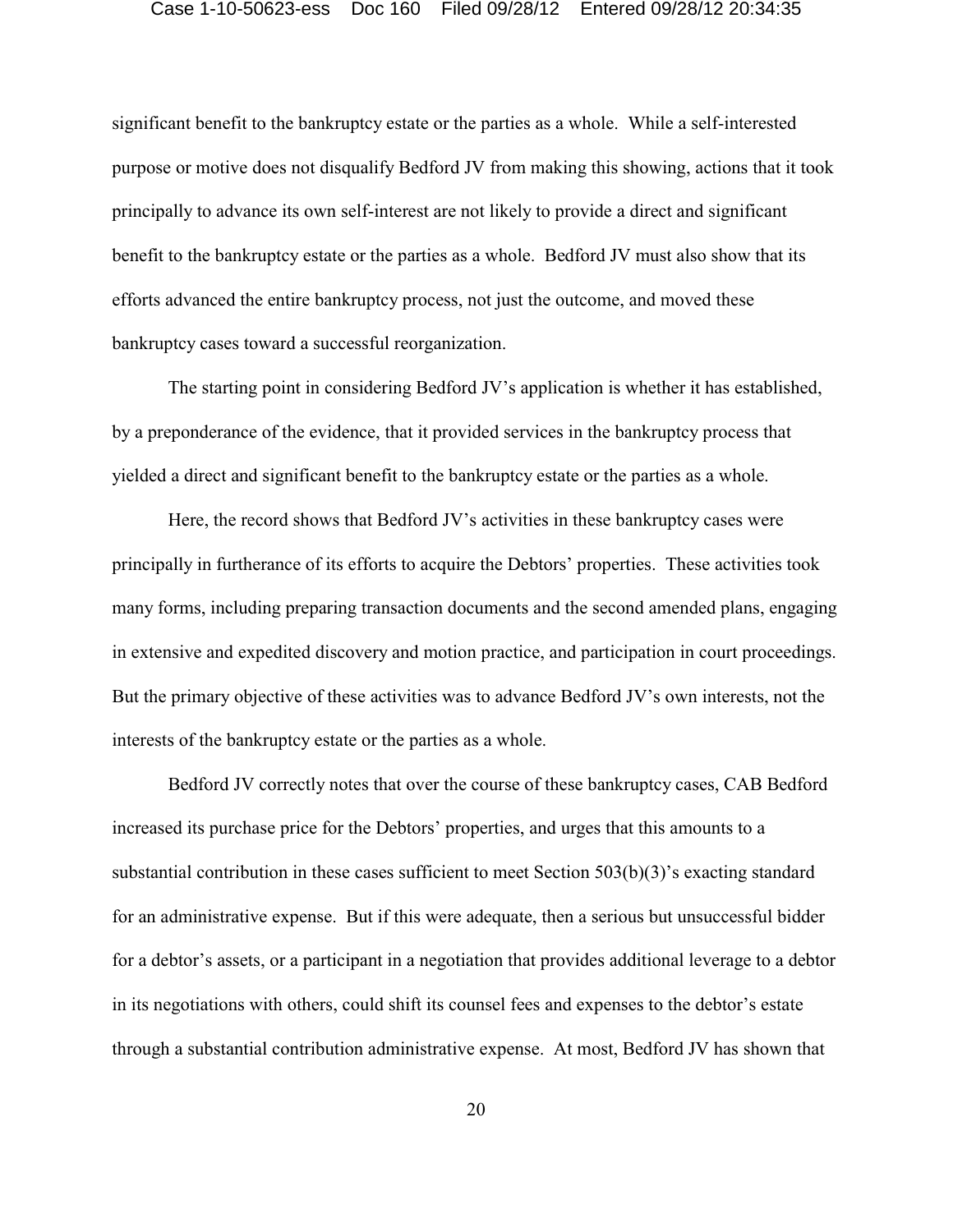significant benefit to the bankruptcy estate or the parties as a whole. While a self-interested purpose or motive does not disqualify Bedford JV from making this showing, actions that it took principally to advance its own self-interest are not likely to provide a direct and significant benefit to the bankruptcy estate or the parties as a whole. Bedford JV must also show that its efforts advanced the entire bankruptcy process, not just the outcome, and moved these bankruptcy cases toward a successful reorganization.

The starting point in considering Bedford JV's application is whether it has established, by a preponderance of the evidence, that it provided services in the bankruptcy process that yielded a direct and significant benefit to the bankruptcy estate or the parties as a whole.

Here, the record shows that Bedford JV's activities in these bankruptcy cases were principally in furtherance of its efforts to acquire the Debtors' properties. These activities took many forms, including preparing transaction documents and the second amended plans, engaging in extensive and expedited discovery and motion practice, and participation in court proceedings. But the primary objective of these activities was to advance Bedford JV's own interests, not the interests of the bankruptcy estate or the parties as a whole.

Bedford JV correctly notes that over the course of these bankruptcy cases, CAB Bedford increased its purchase price for the Debtors' properties, and urges that this amounts to a substantial contribution in these cases sufficient to meet Section 503(b)(3)'s exacting standard for an administrative expense. But if this were adequate, then a serious but unsuccessful bidder for a debtor's assets, or a participant in a negotiation that provides additional leverage to a debtor in its negotiations with others, could shift its counsel fees and expenses to the debtor's estate through a substantial contribution administrative expense. At most, Bedford JV has shown that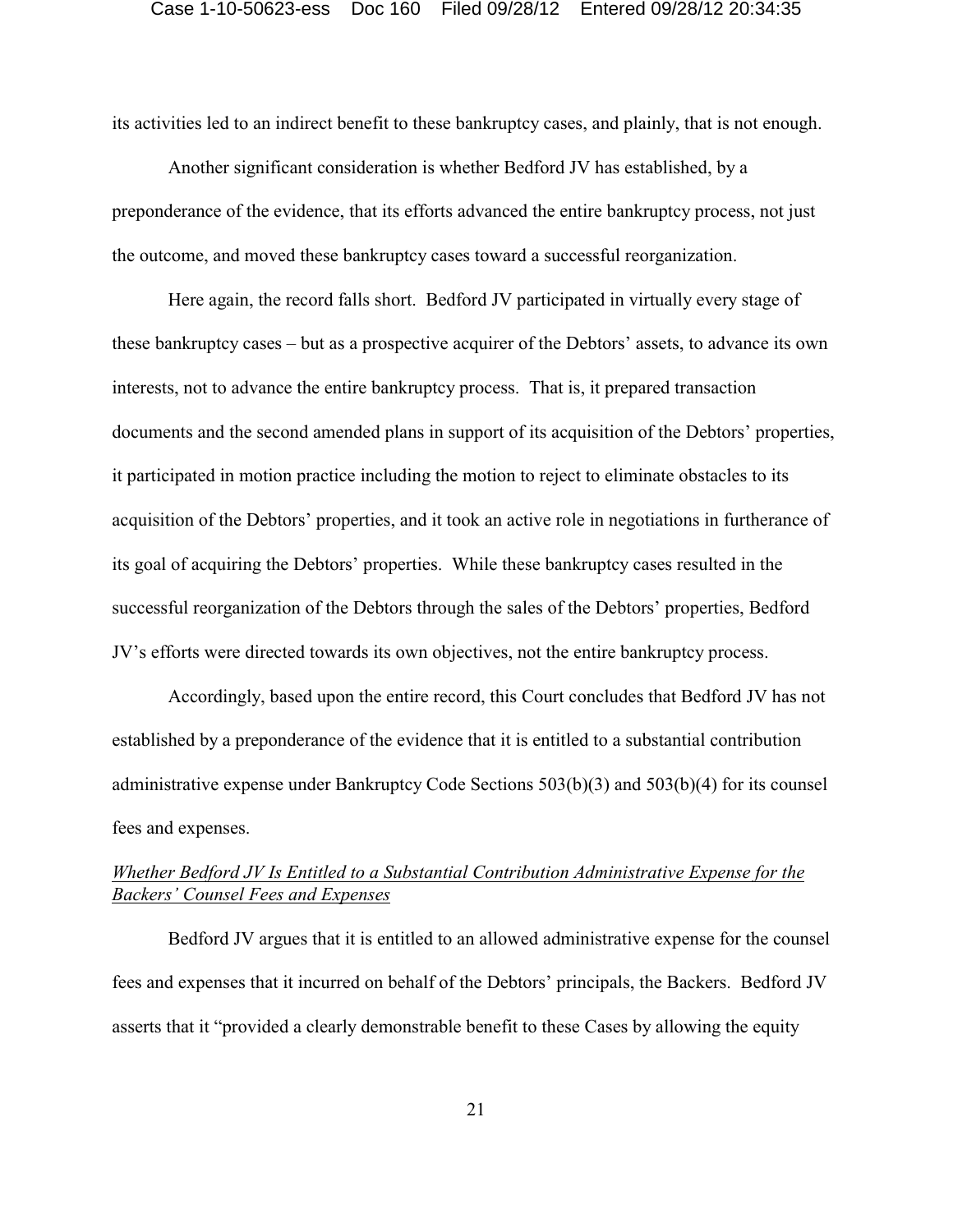its activities led to an indirect benefit to these bankruptcy cases, and plainly, that is not enough.

Another significant consideration is whether Bedford JV has established, by a preponderance of the evidence, that its efforts advanced the entire bankruptcy process, not just the outcome, and moved these bankruptcy cases toward a successful reorganization.

Here again, the record falls short. Bedford JV participated in virtually every stage of these bankruptcy cases – but as a prospective acquirer of the Debtors' assets, to advance its own interests, not to advance the entire bankruptcy process. That is, it prepared transaction documents and the second amended plans in support of its acquisition of the Debtors' properties, it participated in motion practice including the motion to reject to eliminate obstacles to its acquisition of the Debtors' properties, and it took an active role in negotiations in furtherance of its goal of acquiring the Debtors' properties. While these bankruptcy cases resulted in the successful reorganization of the Debtors through the sales of the Debtors' properties, Bedford JV's efforts were directed towards its own objectives, not the entire bankruptcy process.

Accordingly, based upon the entire record, this Court concludes that Bedford JV has not established by a preponderance of the evidence that it is entitled to a substantial contribution administrative expense under Bankruptcy Code Sections 503(b)(3) and 503(b)(4) for its counsel fees and expenses.

# *Whether Bedford JV Is Entitled to a Substantial Contribution Administrative Expense for the Backers' Counsel Fees and Expenses*

Bedford JV argues that it is entitled to an allowed administrative expense for the counsel fees and expenses that it incurred on behalf of the Debtors' principals, the Backers. Bedford JV asserts that it "provided a clearly demonstrable benefit to these Cases by allowing the equity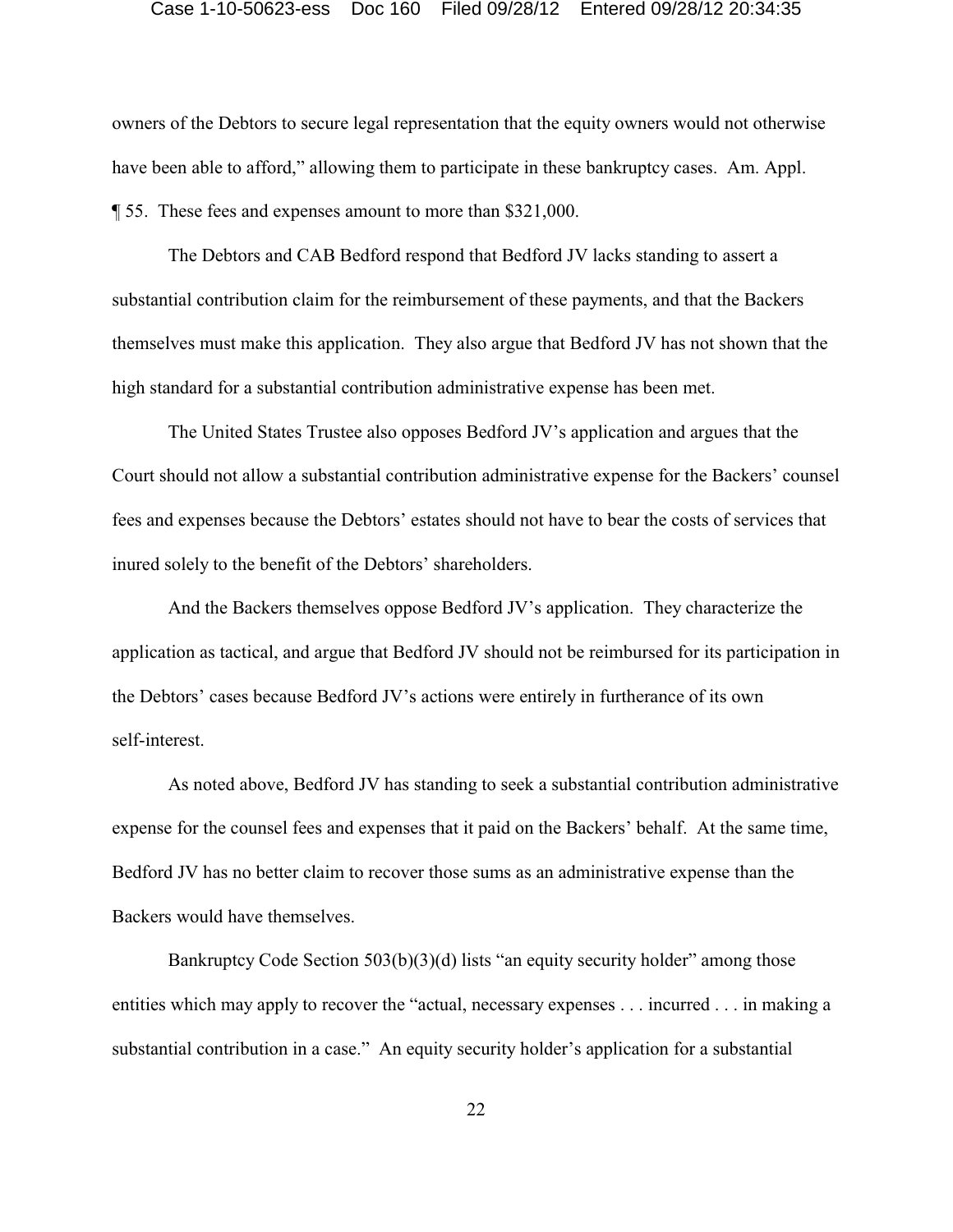owners of the Debtors to secure legal representation that the equity owners would not otherwise have been able to afford," allowing them to participate in these bankruptcy cases. Am. Appl. ¶ 55. These fees and expenses amount to more than \$321,000.

The Debtors and CAB Bedford respond that Bedford JV lacks standing to assert a substantial contribution claim for the reimbursement of these payments, and that the Backers themselves must make this application. They also argue that Bedford JV has not shown that the high standard for a substantial contribution administrative expense has been met.

The United States Trustee also opposes Bedford JV's application and argues that the Court should not allow a substantial contribution administrative expense for the Backers' counsel fees and expenses because the Debtors' estates should not have to bear the costs of services that inured solely to the benefit of the Debtors' shareholders.

And the Backers themselves oppose Bedford JV's application. They characterize the application as tactical, and argue that Bedford JV should not be reimbursed for its participation in the Debtors' cases because Bedford JV's actions were entirely in furtherance of its own self-interest.

As noted above, Bedford JV has standing to seek a substantial contribution administrative expense for the counsel fees and expenses that it paid on the Backers' behalf. At the same time, Bedford JV has no better claim to recover those sums as an administrative expense than the Backers would have themselves.

Bankruptcy Code Section 503(b)(3)(d) lists "an equity security holder" among those entities which may apply to recover the "actual, necessary expenses . . . incurred . . . in making a substantial contribution in a case." An equity security holder's application for a substantial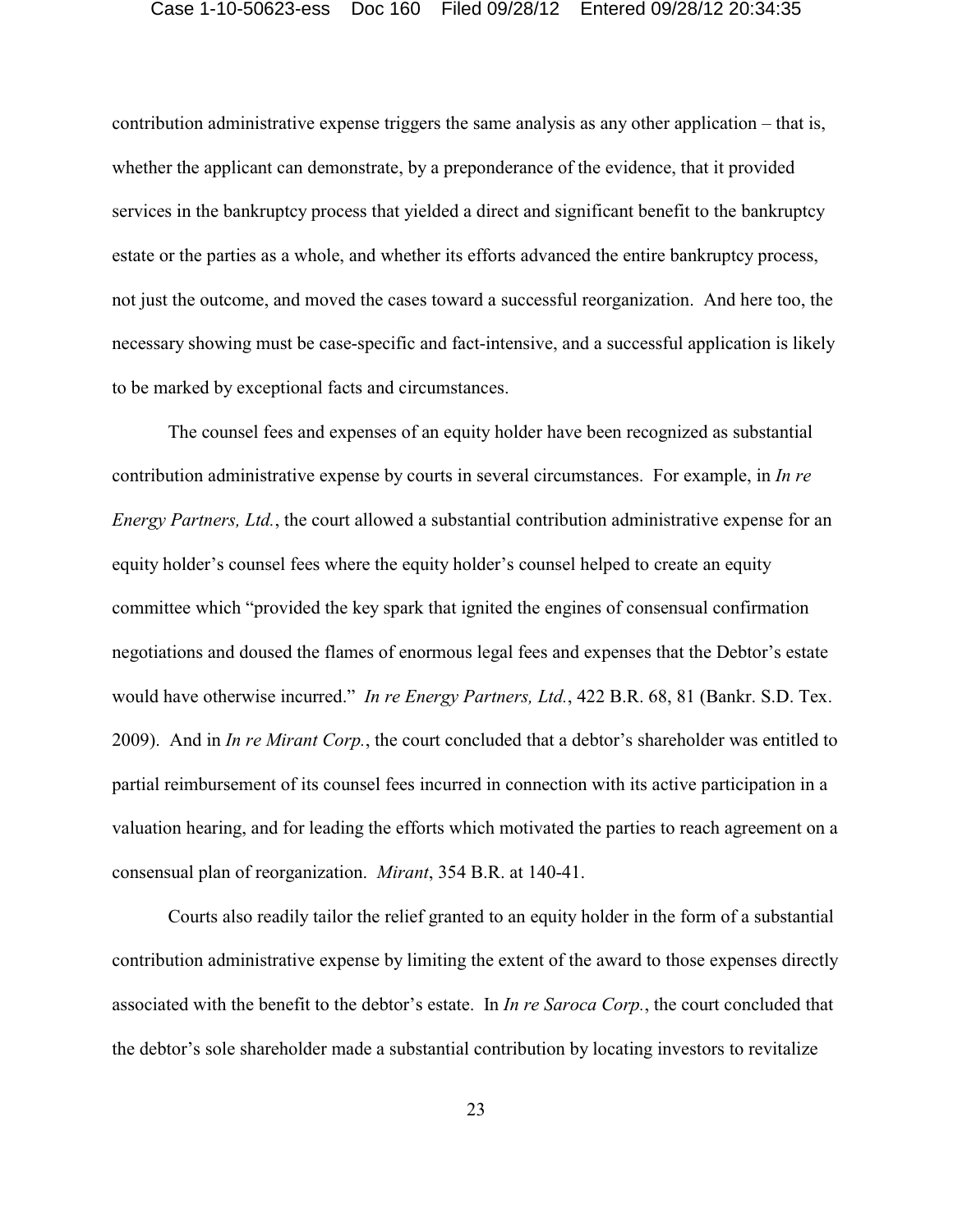contribution administrative expense triggers the same analysis as any other application – that is, whether the applicant can demonstrate, by a preponderance of the evidence, that it provided services in the bankruptcy process that yielded a direct and significant benefit to the bankruptcy estate or the parties as a whole, and whether its efforts advanced the entire bankruptcy process, not just the outcome, and moved the cases toward a successful reorganization. And here too, the necessary showing must be case-specific and fact-intensive, and a successful application is likely to be marked by exceptional facts and circumstances.

The counsel fees and expenses of an equity holder have been recognized as substantial contribution administrative expense by courts in several circumstances. For example, in *In re Energy Partners, Ltd.*, the court allowed a substantial contribution administrative expense for an equity holder's counsel fees where the equity holder's counsel helped to create an equity committee which "provided the key spark that ignited the engines of consensual confirmation negotiations and doused the flames of enormous legal fees and expenses that the Debtor's estate would have otherwise incurred." *In re Energy Partners, Ltd.*, 422 B.R. 68, 81 (Bankr. S.D. Tex. 2009). And in *In re Mirant Corp.*, the court concluded that a debtor's shareholder was entitled to partial reimbursement of its counsel fees incurred in connection with its active participation in a valuation hearing, and for leading the efforts which motivated the parties to reach agreement on a consensual plan of reorganization. *Mirant*, 354 B.R. at 140-41.

Courts also readily tailor the relief granted to an equity holder in the form of a substantial contribution administrative expense by limiting the extent of the award to those expenses directly associated with the benefit to the debtor's estate. In *In re Saroca Corp.*, the court concluded that the debtor's sole shareholder made a substantial contribution by locating investors to revitalize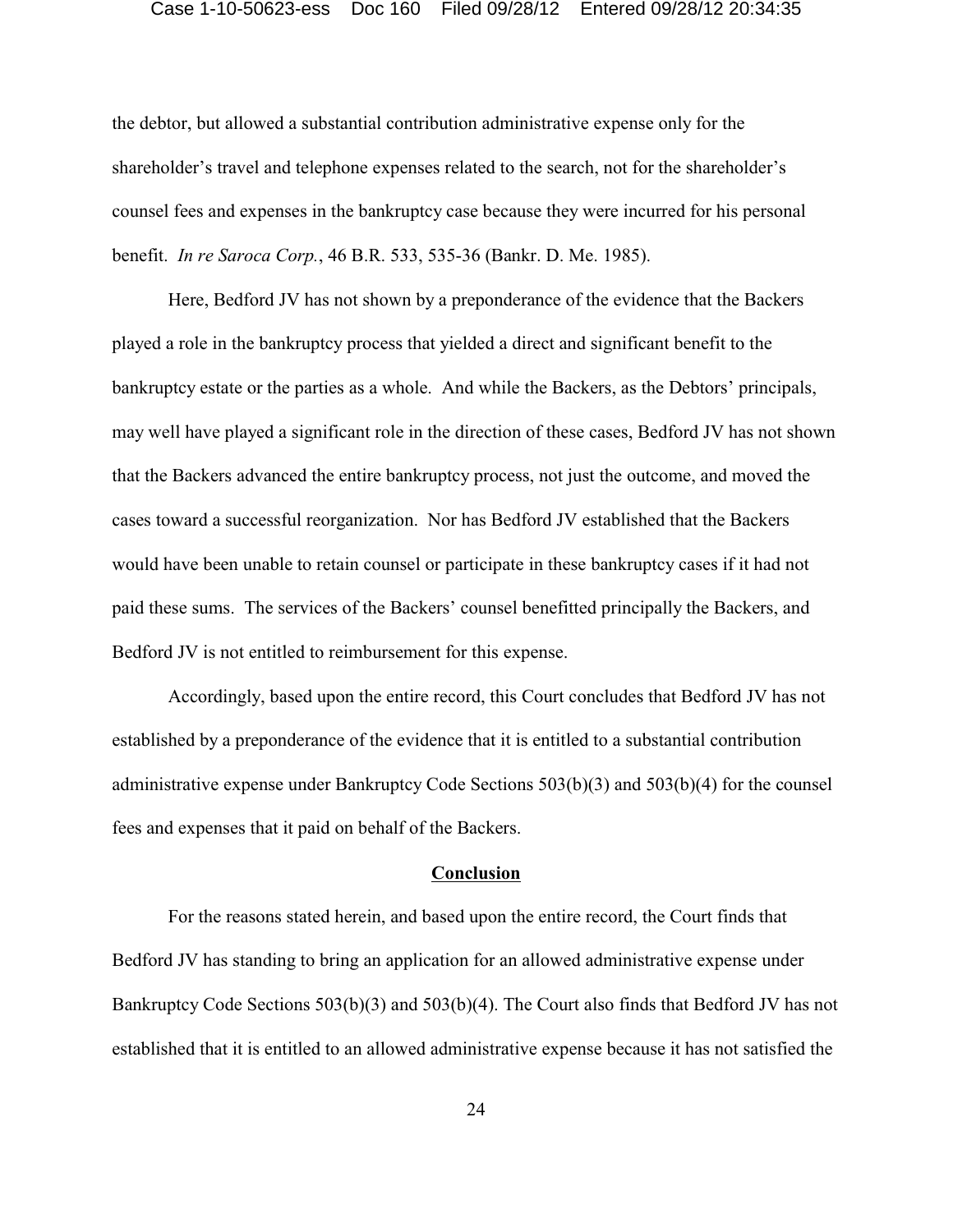the debtor, but allowed a substantial contribution administrative expense only for the shareholder's travel and telephone expenses related to the search, not for the shareholder's counsel fees and expenses in the bankruptcy case because they were incurred for his personal benefit. *In re Saroca Corp.*, 46 B.R. 533, 535-36 (Bankr. D. Me. 1985).

Here, Bedford JV has not shown by a preponderance of the evidence that the Backers played a role in the bankruptcy process that yielded a direct and significant benefit to the bankruptcy estate or the parties as a whole. And while the Backers, as the Debtors' principals, may well have played a significant role in the direction of these cases, Bedford JV has not shown that the Backers advanced the entire bankruptcy process, not just the outcome, and moved the cases toward a successful reorganization. Nor has Bedford JV established that the Backers would have been unable to retain counsel or participate in these bankruptcy cases if it had not paid these sums. The services of the Backers' counsel benefitted principally the Backers, and Bedford JV is not entitled to reimbursement for this expense.

Accordingly, based upon the entire record, this Court concludes that Bedford JV has not established by a preponderance of the evidence that it is entitled to a substantial contribution administrative expense under Bankruptcy Code Sections 503(b)(3) and 503(b)(4) for the counsel fees and expenses that it paid on behalf of the Backers.

## **Conclusion**

For the reasons stated herein, and based upon the entire record, the Court finds that Bedford JV has standing to bring an application for an allowed administrative expense under Bankruptcy Code Sections 503(b)(3) and 503(b)(4). The Court also finds that Bedford JV has not established that it is entitled to an allowed administrative expense because it has not satisfied the